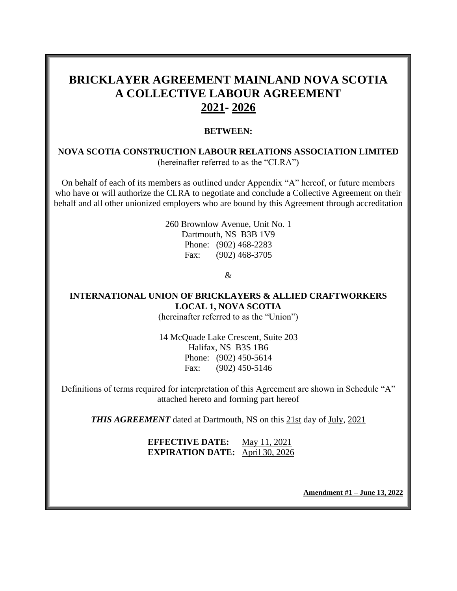# **BRICKLAYER AGREEMENT MAINLAND NOVA SCOTIA A COLLECTIVE LABOUR AGREEMENT 2021- 2026**

#### **BETWEEN:**

#### **NOVA SCOTIA CONSTRUCTION LABOUR RELATIONS ASSOCIATION LIMITED** (hereinafter referred to as the "CLRA")

On behalf of each of its members as outlined under Appendix "A" hereof, or future members who have or will authorize the CLRA to negotiate and conclude a Collective Agreement on their behalf and all other unionized employers who are bound by this Agreement through accreditation

> 260 Brownlow Avenue, Unit No. 1 Dartmouth, NS B3B 1V9 Phone: (902) 468-2283 Fax: (902) 468-3705

> > &

## **INTERNATIONAL UNION OF BRICKLAYERS & ALLIED CRAFTWORKERS LOCAL 1, NOVA SCOTIA**

(hereinafter referred to as the "Union")

14 McQuade Lake Crescent, Suite 203 Halifax, NS B3S 1B6 Phone: (902) 450-5614 Fax: (902) 450-5146

Definitions of terms required for interpretation of this Agreement are shown in Schedule "A" attached hereto and forming part hereof

**THIS AGREEMENT** dated at Dartmouth, NS on this 21st day of July, 2021

**EFFECTIVE DATE:** May 11, 2021 **EXPIRATION DATE:** April 30, 2026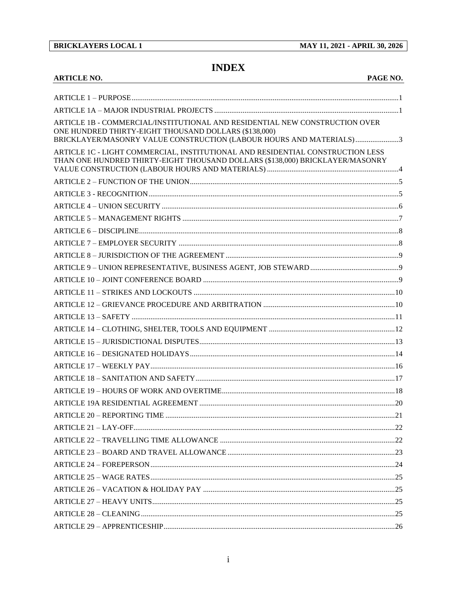### **BRICKLAYERS LOCAL 1**

MAY 11, 2021 - APRIL 30, 2026

# **INDEX**

| <b>ARTICLE NO.</b><br>PAGE NO.                                                                                                                                                                              |  |
|-------------------------------------------------------------------------------------------------------------------------------------------------------------------------------------------------------------|--|
|                                                                                                                                                                                                             |  |
|                                                                                                                                                                                                             |  |
| ARTICLE 1B - COMMERCIAL/INSTITUTIONAL AND RESIDENTIAL NEW CONSTRUCTION OVER<br>ONE HUNDRED THIRTY-EIGHT THOUSAND DOLLARS (\$138,000)<br>BRICKLAYER/MASONRY VALUE CONSTRUCTION (LABOUR HOURS AND MATERIALS)3 |  |
| ARTICLE 1C - LIGHT COMMERCIAL, INSTITUTIONAL AND RESIDENTIAL CONSTRUCTION LESS<br>THAN ONE HUNDRED THIRTY-EIGHT THOUSAND DOLLARS (\$138,000) BRICKLAYER/MASONRY                                             |  |
|                                                                                                                                                                                                             |  |
|                                                                                                                                                                                                             |  |
|                                                                                                                                                                                                             |  |
|                                                                                                                                                                                                             |  |
|                                                                                                                                                                                                             |  |
|                                                                                                                                                                                                             |  |
|                                                                                                                                                                                                             |  |
|                                                                                                                                                                                                             |  |
|                                                                                                                                                                                                             |  |
|                                                                                                                                                                                                             |  |
|                                                                                                                                                                                                             |  |
|                                                                                                                                                                                                             |  |
|                                                                                                                                                                                                             |  |
|                                                                                                                                                                                                             |  |
|                                                                                                                                                                                                             |  |
|                                                                                                                                                                                                             |  |
|                                                                                                                                                                                                             |  |
|                                                                                                                                                                                                             |  |
|                                                                                                                                                                                                             |  |
|                                                                                                                                                                                                             |  |
|                                                                                                                                                                                                             |  |
|                                                                                                                                                                                                             |  |
|                                                                                                                                                                                                             |  |
|                                                                                                                                                                                                             |  |
|                                                                                                                                                                                                             |  |
|                                                                                                                                                                                                             |  |
|                                                                                                                                                                                                             |  |
|                                                                                                                                                                                                             |  |
|                                                                                                                                                                                                             |  |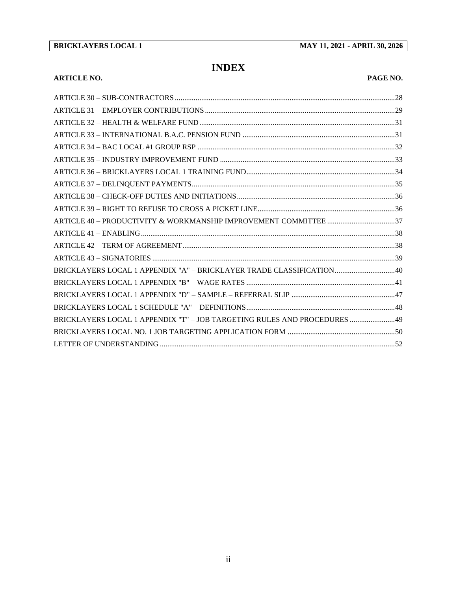**BRICKLAYERS LOCAL 1 MAY 11, 2021 - APRIL 30, 2026**

# **INDEX**

#### **ARTICLE NO. PAGE NO.**

| BRICKLAYERS LOCAL 1 APPENDIX "A" - BRICKLAYER TRADE CLASSIFICATION40      |  |
|---------------------------------------------------------------------------|--|
|                                                                           |  |
|                                                                           |  |
|                                                                           |  |
| BRICKLAYERS LOCAL 1 APPENDIX "T" - JOB TARGETING RULES AND PROCEDURES  49 |  |
|                                                                           |  |
|                                                                           |  |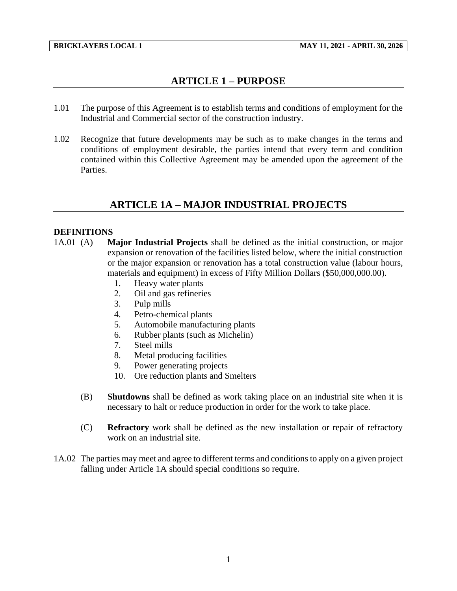# **ARTICLE 1 – PURPOSE**

- <span id="page-3-0"></span>1.01 The purpose of this Agreement is to establish terms and conditions of employment for the Industrial and Commercial sector of the construction industry.
- 1.02 Recognize that future developments may be such as to make changes in the terms and conditions of employment desirable, the parties intend that every term and condition contained within this Collective Agreement may be amended upon the agreement of the Parties.

## **ARTICLE 1A – MAJOR INDUSTRIAL PROJECTS**

### <span id="page-3-1"></span>**DEFINITIONS**

- 1A.01 (A) **Major Industrial Projects** shall be defined as the initial construction, or major expansion or renovation of the facilities listed below, where the initial construction or the major expansion or renovation has a total construction value (labour hours, materials and equipment) in excess of Fifty Million Dollars (\$50,000,000.00).
	- 1. Heavy water plants
	- 2. Oil and gas refineries
	- 3. Pulp mills
	- 4. Petro-chemical plants
	- 5. Automobile manufacturing plants
	- 6. Rubber plants (such as Michelin)
	- 7. Steel mills
	- 8. Metal producing facilities
	- 9. Power generating projects
	- 10. Ore reduction plants and Smelters
	- (B) **Shutdowns** shall be defined as work taking place on an industrial site when it is necessary to halt or reduce production in order for the work to take place.
	- (C) **Refractory** work shall be defined as the new installation or repair of refractory work on an industrial site.
- 1A.02 The parties may meet and agree to different terms and conditions to apply on a given project falling under Article 1A should special conditions so require.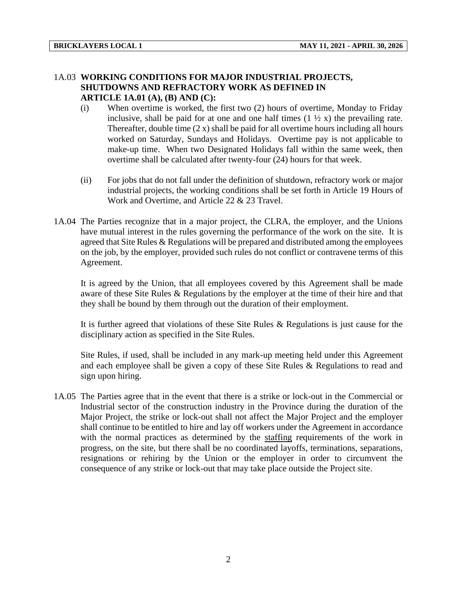## 1A.03 **WORKING CONDITIONS FOR MAJOR INDUSTRIAL PROJECTS, SHUTDOWNS AND REFRACTORY WORK AS DEFINED IN**

**ARTICLE 1A.01 (A), (B) AND (C):**

- (i) When overtime is worked, the first two (2) hours of overtime, Monday to Friday inclusive, shall be paid for at one and one half times  $(1 \frac{1}{2} x)$  the prevailing rate. Thereafter, double time  $(2 x)$  shall be paid for all overtime hours including all hours worked on Saturday, Sundays and Holidays. Overtime pay is not applicable to make-up time. When two Designated Holidays fall within the same week, then overtime shall be calculated after twenty-four (24) hours for that week.
- (ii) For jobs that do not fall under the definition of shutdown, refractory work or major industrial projects, the working conditions shall be set forth in Article 19 Hours of Work and Overtime, and Article 22 & 23 Travel.
- 1A.04 The Parties recognize that in a major project, the CLRA, the employer, and the Unions have mutual interest in the rules governing the performance of the work on the site. It is agreed that Site Rules & Regulations will be prepared and distributed among the employees on the job, by the employer, provided such rules do not conflict or contravene terms of this Agreement.

It is agreed by the Union, that all employees covered by this Agreement shall be made aware of these Site Rules & Regulations by the employer at the time of their hire and that they shall be bound by them through out the duration of their employment.

It is further agreed that violations of these Site Rules & Regulations is just cause for the disciplinary action as specified in the Site Rules.

Site Rules, if used, shall be included in any mark-up meeting held under this Agreement and each employee shall be given a copy of these Site Rules & Regulations to read and sign upon hiring.

1A.05 The Parties agree that in the event that there is a strike or lock-out in the Commercial or Industrial sector of the construction industry in the Province during the duration of the Major Project, the strike or lock-out shall not affect the Major Project and the employer shall continue to be entitled to hire and lay off workers under the Agreement in accordance with the normal practices as determined by the staffing requirements of the work in progress, on the site, but there shall be no coordinated layoffs, terminations, separations, resignations or rehiring by the Union or the employer in order to circumvent the consequence of any strike or lock-out that may take place outside the Project site.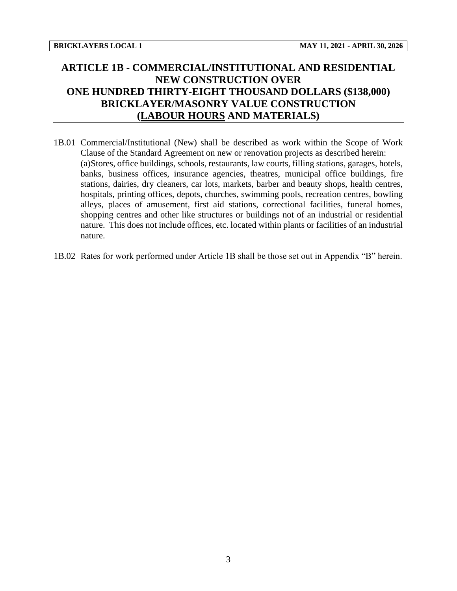# <span id="page-5-0"></span>**ARTICLE 1B - COMMERCIAL/INSTITUTIONAL AND RESIDENTIAL NEW CONSTRUCTION OVER ONE HUNDRED THIRTY-EIGHT THOUSAND DOLLARS (\$138,000) BRICKLAYER/MASONRY VALUE CONSTRUCTION (LABOUR HOURS AND MATERIALS)**

- 1B.01 Commercial/Institutional (New) shall be described as work within the Scope of Work Clause of the Standard Agreement on new or renovation projects as described herein: (a)Stores, office buildings, schools, restaurants, law courts, filling stations, garages, hotels, banks, business offices, insurance agencies, theatres, municipal office buildings, fire stations, dairies, dry cleaners, car lots, markets, barber and beauty shops, health centres, hospitals, printing offices, depots, churches, swimming pools, recreation centres, bowling alleys, places of amusement, first aid stations, correctional facilities, funeral homes, shopping centres and other like structures or buildings not of an industrial or residential nature. This does not include offices, etc. located within plants or facilities of an industrial nature.
- 1B.02 Rates for work performed under Article 1B shall be those set out in Appendix "B" herein.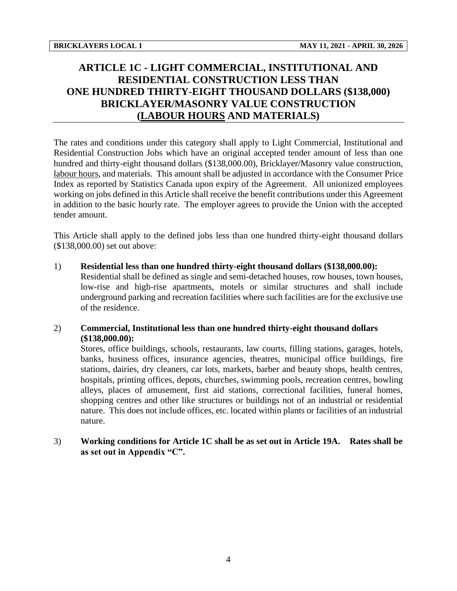# <span id="page-6-0"></span>**ARTICLE 1C - LIGHT COMMERCIAL, INSTITUTIONAL AND RESIDENTIAL CONSTRUCTION LESS THAN ONE HUNDRED THIRTY-EIGHT THOUSAND DOLLARS (\$138,000) BRICKLAYER/MASONRY VALUE CONSTRUCTION (LABOUR HOURS AND MATERIALS)**

The rates and conditions under this category shall apply to Light Commercial, Institutional and Residential Construction Jobs which have an original accepted tender amount of less than one hundred and thirty-eight thousand dollars (\$138,000.00), Bricklayer/Masonry value construction, labour hours, and materials. This amount shall be adjusted in accordance with the Consumer Price Index as reported by Statistics Canada upon expiry of the Agreement. All unionized employees working on jobs defined in this Article shall receive the benefit contributions under this Agreement in addition to the basic hourly rate. The employer agrees to provide the Union with the accepted tender amount.

This Article shall apply to the defined jobs less than one hundred thirty-eight thousand dollars (\$138,000.00) set out above:

#### 1) **Residential less than one hundred thirty-eight thousand dollars (\$138,000.00):**

Residential shall be defined as single and semi-detached houses, row houses, town houses, low-rise and high-rise apartments, motels or similar structures and shall include underground parking and recreation facilities where such facilities are for the exclusive use of the residence.

#### 2) **Commercial, Institutional less than one hundred thirty-eight thousand dollars (\$138,000.00):**

Stores, office buildings, schools, restaurants, law courts, filling stations, garages, hotels, banks, business offices, insurance agencies, theatres, municipal office buildings, fire stations, dairies, dry cleaners, car lots, markets, barber and beauty shops, health centres, hospitals, printing offices, depots, churches, swimming pools, recreation centres, bowling alleys, places of amusement, first aid stations, correctional facilities, funeral homes, shopping centres and other like structures or buildings not of an industrial or residential nature. This does not include offices, etc. located within plants or facilities of an industrial nature.

#### 3) **Working conditions for Article 1C shall be as set out in Article 19A. Rates shall be as set out in Appendix "C".**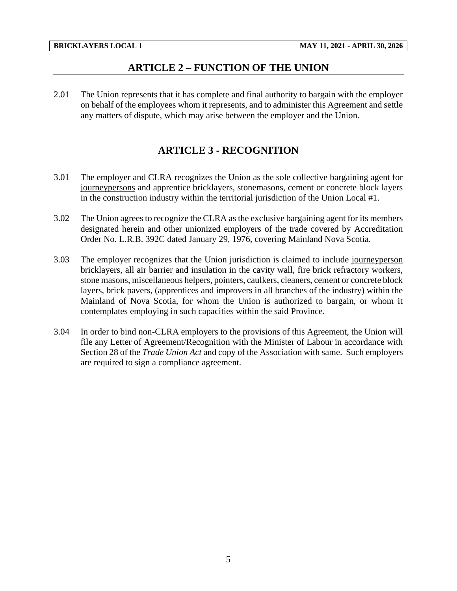## **ARTICLE 2 – FUNCTION OF THE UNION**

<span id="page-7-1"></span><span id="page-7-0"></span>2.01 The Union represents that it has complete and final authority to bargain with the employer on behalf of the employees whom it represents, and to administer this Agreement and settle any matters of dispute, which may arise between the employer and the Union.

## **ARTICLE 3 - RECOGNITION**

- 3.01 The employer and CLRA recognizes the Union as the sole collective bargaining agent for journeypersons and apprentice bricklayers, stonemasons, cement or concrete block layers in the construction industry within the territorial jurisdiction of the Union Local #1.
- 3.02 The Union agrees to recognize the CLRA as the exclusive bargaining agent for its members designated herein and other unionized employers of the trade covered by Accreditation Order No. L.R.B. 392C dated January 29, 1976, covering Mainland Nova Scotia.
- 3.03 The employer recognizes that the Union jurisdiction is claimed to include journeyperson bricklayers, all air barrier and insulation in the cavity wall, fire brick refractory workers, stone masons, miscellaneous helpers, pointers, caulkers, cleaners, cement or concrete block layers, brick pavers, (apprentices and improvers in all branches of the industry) within the Mainland of Nova Scotia, for whom the Union is authorized to bargain, or whom it contemplates employing in such capacities within the said Province.
- 3.04 In order to bind non-CLRA employers to the provisions of this Agreement, the Union will file any Letter of Agreement/Recognition with the Minister of Labour in accordance with Section 28 of the *Trade Union Act* and copy of the Association with same. Such employers are required to sign a compliance agreement.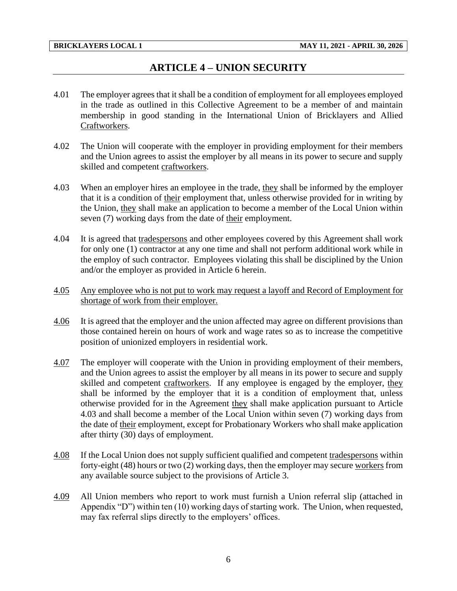## **ARTICLE 4 – UNION SECURITY**

- <span id="page-8-0"></span>4.01 The employer agrees that it shall be a condition of employment for all employees employed in the trade as outlined in this Collective Agreement to be a member of and maintain membership in good standing in the International Union of Bricklayers and Allied Craftworkers.
- 4.02 The Union will cooperate with the employer in providing employment for their members and the Union agrees to assist the employer by all means in its power to secure and supply skilled and competent craftworkers.
- 4.03 When an employer hires an employee in the trade, they shall be informed by the employer that it is a condition of their employment that, unless otherwise provided for in writing by the Union, they shall make an application to become a member of the Local Union within seven (7) working days from the date of their employment.
- 4.04 It is agreed that tradespersons and other employees covered by this Agreement shall work for only one (1) contractor at any one time and shall not perform additional work while in the employ of such contractor. Employees violating this shall be disciplined by the Union and/or the employer as provided in Article 6 herein.
- 4.05 Any employee who is not put to work may request a layoff and Record of Employment for shortage of work from their employer.
- 4.06 It is agreed that the employer and the union affected may agree on different provisions than those contained herein on hours of work and wage rates so as to increase the competitive position of unionized employers in residential work.
- 4.07 The employer will cooperate with the Union in providing employment of their members, and the Union agrees to assist the employer by all means in its power to secure and supply skilled and competent craftworkers. If any employee is engaged by the employer, they shall be informed by the employer that it is a condition of employment that, unless otherwise provided for in the Agreement they shall make application pursuant to Article 4.03 and shall become a member of the Local Union within seven (7) working days from the date of their employment, except for Probationary Workers who shall make application after thirty (30) days of employment.
- 4.08 If the Local Union does not supply sufficient qualified and competent tradespersons within forty-eight (48) hours or two (2) working days, then the employer may secure workers from any available source subject to the provisions of Article 3.
- 4.09 All Union members who report to work must furnish a Union referral slip (attached in Appendix "D") within ten (10) working days of starting work. The Union, when requested, may fax referral slips directly to the employers' offices.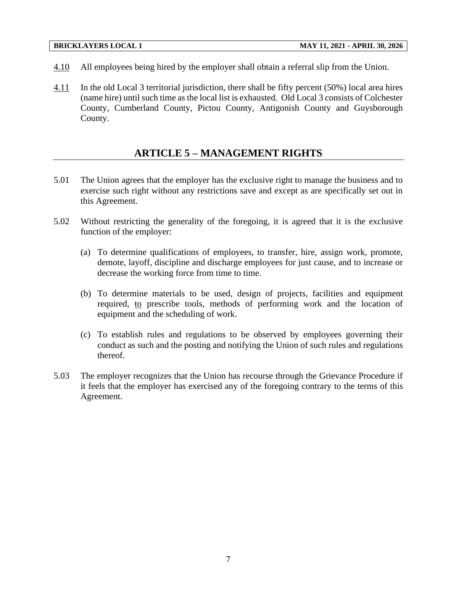- 4.10 All employees being hired by the employer shall obtain a referral slip from the Union.
- 4.11 In the old Local 3 territorial jurisdiction, there shall be fifty percent (50%) local area hires (name hire) until such time as the local list is exhausted. Old Local 3 consists of Colchester County, Cumberland County, Pictou County, Antigonish County and Guysborough County.

## **ARTICLE 5 – MANAGEMENT RIGHTS**

- <span id="page-9-0"></span>5.01 The Union agrees that the employer has the exclusive right to manage the business and to exercise such right without any restrictions save and except as are specifically set out in this Agreement.
- 5.02 Without restricting the generality of the foregoing, it is agreed that it is the exclusive function of the employer:
	- (a) To determine qualifications of employees, to transfer, hire, assign work, promote, demote, layoff, discipline and discharge employees for just cause, and to increase or decrease the working force from time to time.
	- (b) To determine materials to be used, design of projects, facilities and equipment required, to prescribe tools, methods of performing work and the location of equipment and the scheduling of work.
	- (c) To establish rules and regulations to be observed by employees governing their conduct as such and the posting and notifying the Union of such rules and regulations thereof.
- 5.03 The employer recognizes that the Union has recourse through the Grievance Procedure if it feels that the employer has exercised any of the foregoing contrary to the terms of this Agreement.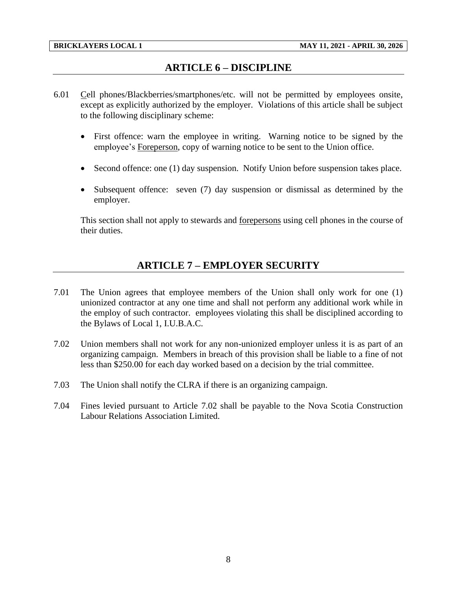## **ARTICLE 6 – DISCIPLINE**

- <span id="page-10-0"></span>6.01 Cell phones/Blackberries/smartphones/etc. will not be permitted by employees onsite, except as explicitly authorized by the employer. Violations of this article shall be subject to the following disciplinary scheme:
	- First offence: warn the employee in writing. Warning notice to be signed by the employee's Foreperson, copy of warning notice to be sent to the Union office.
	- Second offence: one (1) day suspension. Notify Union before suspension takes place.
	- Subsequent offence: seven (7) day suspension or dismissal as determined by the employer.

<span id="page-10-1"></span>This section shall not apply to stewards and forepersons using cell phones in the course of their duties.

## **ARTICLE 7 – EMPLOYER SECURITY**

- 7.01 The Union agrees that employee members of the Union shall only work for one (1) unionized contractor at any one time and shall not perform any additional work while in the employ of such contractor. employees violating this shall be disciplined according to the Bylaws of Local 1, I.U.B.A.C.
- 7.02 Union members shall not work for any non-unionized employer unless it is as part of an organizing campaign. Members in breach of this provision shall be liable to a fine of not less than \$250.00 for each day worked based on a decision by the trial committee.
- 7.03 The Union shall notify the CLRA if there is an organizing campaign.
- 7.04 Fines levied pursuant to Article 7.02 shall be payable to the Nova Scotia Construction Labour Relations Association Limited.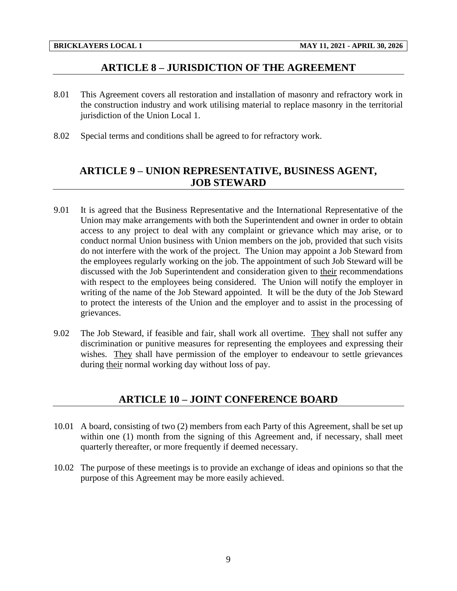## **ARTICLE 8 – JURISDICTION OF THE AGREEMENT**

- <span id="page-11-0"></span>8.01 This Agreement covers all restoration and installation of masonry and refractory work in the construction industry and work utilising material to replace masonry in the territorial jurisdiction of the Union Local 1.
- <span id="page-11-1"></span>8.02 Special terms and conditions shall be agreed to for refractory work.

## **ARTICLE 9 – UNION REPRESENTATIVE, BUSINESS AGENT, JOB STEWARD**

- 9.01 It is agreed that the Business Representative and the International Representative of the Union may make arrangements with both the Superintendent and owner in order to obtain access to any project to deal with any complaint or grievance which may arise, or to conduct normal Union business with Union members on the job, provided that such visits do not interfere with the work of the project. The Union may appoint a Job Steward from the employees regularly working on the job. The appointment of such Job Steward will be discussed with the Job Superintendent and consideration given to their recommendations with respect to the employees being considered. The Union will notify the employer in writing of the name of the Job Steward appointed. It will be the duty of the Job Steward to protect the interests of the Union and the employer and to assist in the processing of grievances.
- 9.02 The Job Steward, if feasible and fair, shall work all overtime. They shall not suffer any discrimination or punitive measures for representing the employees and expressing their wishes. They shall have permission of the employer to endeavour to settle grievances during their normal working day without loss of pay.

## **ARTICLE 10 – JOINT CONFERENCE BOARD**

- <span id="page-11-2"></span>10.01 A board, consisting of two (2) members from each Party of this Agreement, shall be set up within one (1) month from the signing of this Agreement and, if necessary, shall meet quarterly thereafter, or more frequently if deemed necessary.
- 10.02 The purpose of these meetings is to provide an exchange of ideas and opinions so that the purpose of this Agreement may be more easily achieved.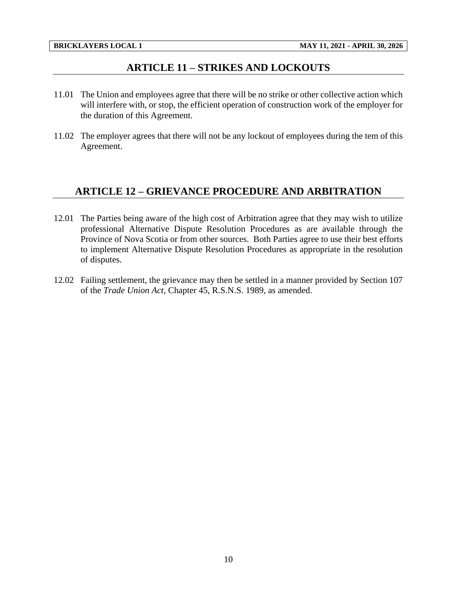## **ARTICLE 11 – STRIKES AND LOCKOUTS**

- <span id="page-12-0"></span>11.01 The Union and employees agree that there will be no strike or other collective action which will interfere with, or stop, the efficient operation of construction work of the employer for the duration of this Agreement.
- 11.02 The employer agrees that there will not be any lockout of employees during the tem of this Agreement.

## <span id="page-12-1"></span>**ARTICLE 12 – GRIEVANCE PROCEDURE AND ARBITRATION**

- 12.01 The Parties being aware of the high cost of Arbitration agree that they may wish to utilize professional Alternative Dispute Resolution Procedures as are available through the Province of Nova Scotia or from other sources. Both Parties agree to use their best efforts to implement Alternative Dispute Resolution Procedures as appropriate in the resolution of disputes.
- 12.02 Failing settlement, the grievance may then be settled in a manner provided by Section 107 of the *Trade Union Act*, Chapter 45, R.S.N.S. 1989, as amended.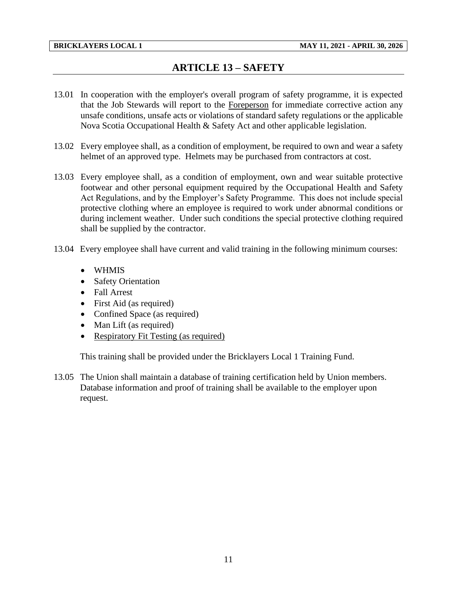# **ARTICLE 13 – SAFETY**

- <span id="page-13-0"></span>13.01 In cooperation with the employer's overall program of safety programme, it is expected that the Job Stewards will report to the Foreperson for immediate corrective action any unsafe conditions, unsafe acts or violations of standard safety regulations or the applicable Nova Scotia Occupational Health & Safety Act and other applicable legislation.
- 13.02 Every employee shall, as a condition of employment, be required to own and wear a safety helmet of an approved type. Helmets may be purchased from contractors at cost.
- 13.03 Every employee shall, as a condition of employment, own and wear suitable protective footwear and other personal equipment required by the Occupational Health and Safety Act Regulations, and by the Employer's Safety Programme. This does not include special protective clothing where an employee is required to work under abnormal conditions or during inclement weather. Under such conditions the special protective clothing required shall be supplied by the contractor.
- 13.04 Every employee shall have current and valid training in the following minimum courses:
	- WHMIS
	- Safety Orientation
	- Fall Arrest
	- First Aid (as required)
	- Confined Space (as required)
	- Man Lift (as required)
	- Respiratory Fit Testing (as required)

This training shall be provided under the Bricklayers Local 1 Training Fund.

13.05 The Union shall maintain a database of training certification held by Union members. Database information and proof of training shall be available to the employer upon request.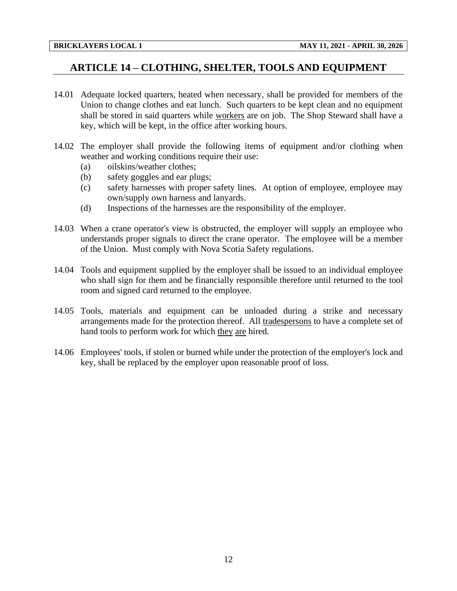## <span id="page-14-0"></span>**ARTICLE 14 – CLOTHING, SHELTER, TOOLS AND EQUIPMENT**

- 14.01 Adequate locked quarters, heated when necessary, shall be provided for members of the Union to change clothes and eat lunch. Such quarters to be kept clean and no equipment shall be stored in said quarters while workers are on job. The Shop Steward shall have a key, which will be kept, in the office after working hours.
- 14.02 The employer shall provide the following items of equipment and/or clothing when weather and working conditions require their use:
	- (a) oilskins/weather clothes;
	- (b) safety goggles and ear plugs;
	- (c) safety harnesses with proper safety lines. At option of employee, employee may own/supply own harness and lanyards.
	- (d) Inspections of the harnesses are the responsibility of the employer.
- 14.03 When a crane operator's view is obstructed, the employer will supply an employee who understands proper signals to direct the crane operator. The employee will be a member of the Union. Must comply with Nova Scotia Safety regulations.
- 14.04 Tools and equipment supplied by the employer shall be issued to an individual employee who shall sign for them and be financially responsible therefore until returned to the tool room and signed card returned to the employee.
- 14.05 Tools, materials and equipment can be unloaded during a strike and necessary arrangements made for the protection thereof. All tradespersons to have a complete set of hand tools to perform work for which they are hired.
- 14.06 Employees' tools, if stolen or burned while under the protection of the employer's lock and key, shall be replaced by the employer upon reasonable proof of loss.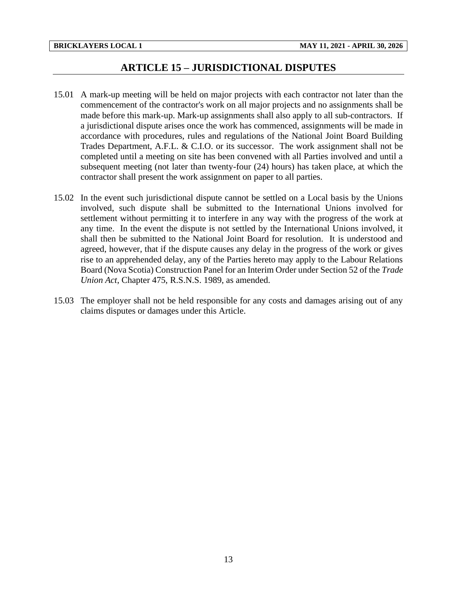## **ARTICLE 15 – JURISDICTIONAL DISPUTES**

- <span id="page-15-0"></span>15.01 A mark-up meeting will be held on major projects with each contractor not later than the commencement of the contractor's work on all major projects and no assignments shall be made before this mark-up. Mark-up assignments shall also apply to all sub-contractors. If a jurisdictional dispute arises once the work has commenced, assignments will be made in accordance with procedures, rules and regulations of the National Joint Board Building Trades Department, A.F.L. & C.I.O. or its successor. The work assignment shall not be completed until a meeting on site has been convened with all Parties involved and until a subsequent meeting (not later than twenty-four (24) hours) has taken place, at which the contractor shall present the work assignment on paper to all parties.
- 15.02 In the event such jurisdictional dispute cannot be settled on a Local basis by the Unions involved, such dispute shall be submitted to the International Unions involved for settlement without permitting it to interfere in any way with the progress of the work at any time. In the event the dispute is not settled by the International Unions involved, it shall then be submitted to the National Joint Board for resolution. It is understood and agreed, however, that if the dispute causes any delay in the progress of the work or gives rise to an apprehended delay, any of the Parties hereto may apply to the Labour Relations Board (Nova Scotia) Construction Panel for an Interim Order under Section 52 of the *Trade Union Act*, Chapter 475, R.S.N.S. 1989, as amended.
- 15.03 The employer shall not be held responsible for any costs and damages arising out of any claims disputes or damages under this Article.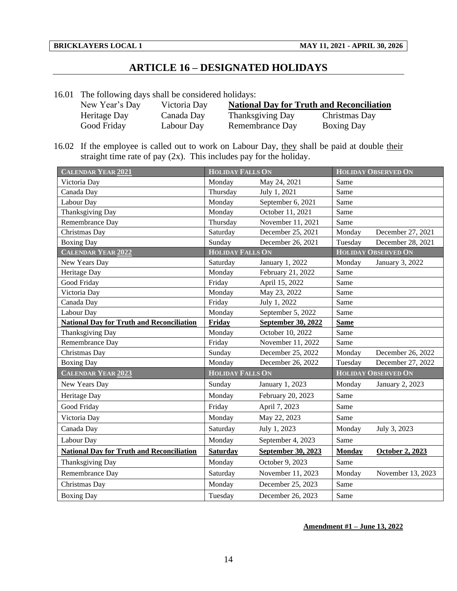# **ARTICLE 16 – DESIGNATED HOLIDAYS**

<span id="page-16-0"></span>16.01 The following days shall be considered holidays:

| New Year's Day | Victoria Day |                         | <b>National Day for Truth and Reconciliation</b> |
|----------------|--------------|-------------------------|--------------------------------------------------|
| Heritage Day   | Canada Day   | <b>Thanksgiving Day</b> | Christmas Day                                    |
| Good Friday    | Labour Day   | Remembrance Day         | <b>Boxing Day</b>                                |

16.02 If the employee is called out to work on Labour Day, they shall be paid at double their straight time rate of pay (2x). This includes pay for the holiday.

| <b>CALENDAR YEAR 2021</b>                        | <b>HOLIDAY FALLS ON</b> |                    |               | <b>HOLIDAY OBSERVED ON</b> |
|--------------------------------------------------|-------------------------|--------------------|---------------|----------------------------|
| Victoria Day                                     | Monday                  | May 24, 2021       | Same          |                            |
| Canada Day                                       | Thursday                | July 1, 2021       | Same          |                            |
| Labour Day                                       | Monday                  | September 6, 2021  | Same          |                            |
| Thanksgiving Day                                 | Monday                  | October 11, 2021   | Same          |                            |
| Remembrance Day                                  | Thursday                | November 11, 2021  | Same          |                            |
| Christmas Day                                    | Saturday                | December 25, 2021  | Monday        | December 27, 2021          |
| <b>Boxing Day</b>                                | Sunday                  | December 26, 2021  | Tuesday       | December 28, 2021          |
| <b>CALENDAR YEAR 2022</b>                        | <b>HOLIDAY FALLS ON</b> |                    |               | <b>HOLIDAY OBSERVED ON</b> |
| New Years Day                                    | Saturday                | January 1, 2022    | Monday        | January 3, 2022            |
| Heritage Day                                     | Monday                  | February 21, 2022  | Same          |                            |
| Good Friday                                      | Friday                  | April 15, 2022     | Same          |                            |
| Victoria Day                                     | Monday                  | May 23, 2022       | Same          |                            |
| Canada Day                                       | Friday                  | July 1, 2022       | Same          |                            |
| Labour Day                                       | Monday                  | September 5, 2022  | Same          |                            |
| <b>National Day for Truth and Reconciliation</b> | Friday                  | September 30, 2022 | <b>Same</b>   |                            |
| Thanksgiving Day                                 | Monday                  | October 10, 2022   | Same          |                            |
| Remembrance Day                                  | Friday                  | November 11, 2022  | Same          |                            |
| Christmas Day                                    | Sunday                  | December 25, 2022  | Monday        | December 26, 2022          |
| <b>Boxing Day</b>                                | Monday                  | December 26, 2022  | Tuesday       | December 27, 2022          |
| <b>CALENDAR YEAR 2023</b>                        | <b>HOLIDAY FALLS ON</b> |                    |               | <b>HOLIDAY OBSERVED ON</b> |
| New Years Day                                    | Sunday                  | January 1, 2023    | Monday        | January 2, 2023            |
| Heritage Day                                     | Monday                  | February 20, 2023  | Same          |                            |
| Good Friday                                      | Friday                  | April 7, 2023      | Same          |                            |
| Victoria Day                                     | Monday                  | May 22, 2023       | Same          |                            |
| Canada Day                                       | Saturday                | July 1, 2023       | Monday        | July 3, 2023               |
| Labour Day                                       | Monday                  | September 4, 2023  | Same          |                            |
| <b>National Day for Truth and Reconciliation</b> | <b>Saturday</b>         | September 30, 2023 | <b>Monday</b> | <b>October 2, 2023</b>     |
| Thanksgiving Day                                 | Monday                  | October 9, 2023    | Same          |                            |
| Remembrance Day                                  | Saturday                | November 11, 2023  | Monday        | November 13, 2023          |
| Christmas Day                                    | Monday                  | December 25, 2023  | Same          |                            |
| <b>Boxing Day</b>                                | Tuesday                 | December 26, 2023  | Same          |                            |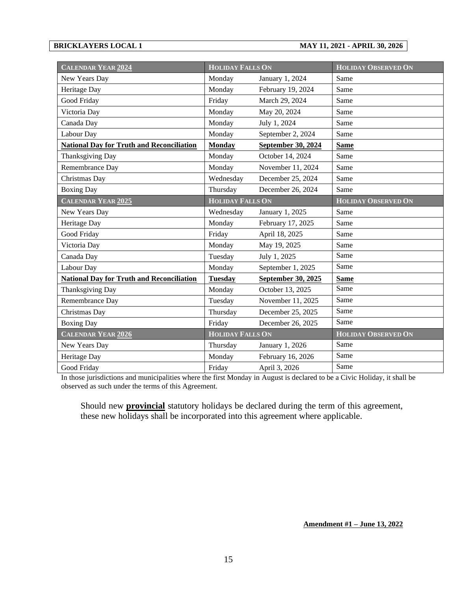#### **BRICKLAYERS LOCAL 1 MAY 11, 2021 - APRIL 30, 2026**

| <b>CALENDAR YEAR 2024</b>                        | <b>HOLIDAY FALLS ON</b> |                           | <b>HOLIDAY OBSERVED ON</b> |
|--------------------------------------------------|-------------------------|---------------------------|----------------------------|
| New Years Day                                    | Monday                  | January 1, 2024           | Same                       |
| Heritage Day                                     | Monday                  | February 19, 2024         | Same                       |
| Good Friday                                      | Friday                  | March 29, 2024            | Same                       |
| Victoria Day                                     | Monday                  | May 20, 2024              | Same                       |
| Canada Day                                       | Monday                  | July 1, 2024              | Same                       |
| Labour Day                                       | Monday                  | September 2, 2024         | Same                       |
| <b>National Day for Truth and Reconciliation</b> | <b>Monday</b>           | <b>September 30, 2024</b> | <b>Same</b>                |
| Thanksgiving Day                                 | Monday                  | October 14, 2024          | Same                       |
| Remembrance Day                                  | Monday                  | November 11, 2024         | Same                       |
| Christmas Day                                    | Wednesday               | December 25, 2024         | Same                       |
| <b>Boxing Day</b>                                | Thursday                | December 26, 2024         | Same                       |
| <b>CALENDAR YEAR 2025</b>                        | <b>HOLIDAY FALLS ON</b> |                           | <b>HOLIDAY OBSERVED ON</b> |
| New Years Day                                    | Wednesday               | January 1, 2025           | Same                       |
| Heritage Day                                     | Monday                  | February 17, 2025         | Same                       |
| Good Friday                                      | Friday                  | April 18, 2025            | Same                       |
| Victoria Day                                     | Monday                  | May 19, 2025              | Same                       |
| Canada Day                                       | Tuesday                 | July 1, 2025              | Same                       |
| Labour Day                                       | Monday                  | September 1, 2025         | Same                       |
| <b>National Day for Truth and Reconciliation</b> | <b>Tuesday</b>          | <b>September 30, 2025</b> | <b>Same</b>                |
| Thanksgiving Day                                 | Monday                  | October 13, 2025          | Same                       |
| Remembrance Day                                  | Tuesday                 | November 11, 2025         | Same                       |
| Christmas Day                                    | Thursday                | December 25, 2025         | Same                       |
| <b>Boxing Day</b>                                | Friday                  | December 26, 2025         | Same                       |
| <b>CALENDAR YEAR 2026</b>                        | <b>HOLIDAY FALLS ON</b> |                           | <b>HOLIDAY OBSERVED ON</b> |
| New Years Day                                    | Thursday                | January 1, 2026           | Same                       |
| Heritage Day                                     | Monday                  | February 16, 2026         | Same                       |
| Good Friday                                      | Friday                  | April 3, 2026             | Same                       |

In those jurisdictions and municipalities where the first Monday in August is declared to be a Civic Holiday, it shall be observed as such under the terms of this Agreement.

Should new **provincial** statutory holidays be declared during the term of this agreement, these new holidays shall be incorporated into this agreement where applicable.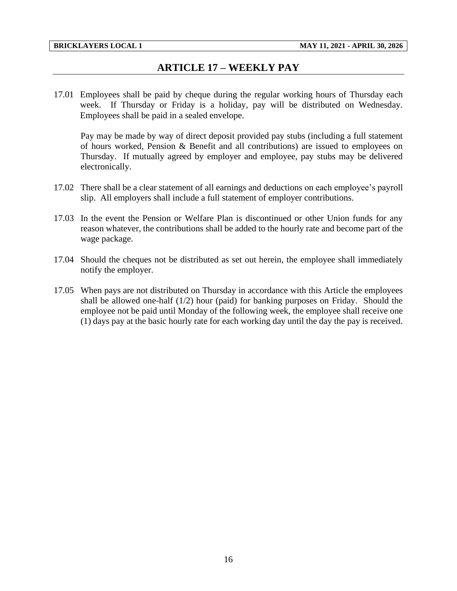## **ARTICLE 17 – WEEKLY PAY**

<span id="page-18-0"></span>17.01 Employees shall be paid by cheque during the regular working hours of Thursday each week. If Thursday or Friday is a holiday, pay will be distributed on Wednesday. Employees shall be paid in a sealed envelope.

Pay may be made by way of direct deposit provided pay stubs (including a full statement of hours worked, Pension & Benefit and all contributions) are issued to employees on Thursday. If mutually agreed by employer and employee, pay stubs may be delivered electronically.

- 17.02 There shall be a clear statement of all earnings and deductions on each employee's payroll slip. All employers shall include a full statement of employer contributions.
- 17.03 In the event the Pension or Welfare Plan is discontinued or other Union funds for any reason whatever, the contributions shall be added to the hourly rate and become part of the wage package.
- 17.04 Should the cheques not be distributed as set out herein, the employee shall immediately notify the employer.
- 17.05 When pays are not distributed on Thursday in accordance with this Article the employees shall be allowed one-half (1/2) hour (paid) for banking purposes on Friday. Should the employee not be paid until Monday of the following week, the employee shall receive one (1) days pay at the basic hourly rate for each working day until the day the pay is received.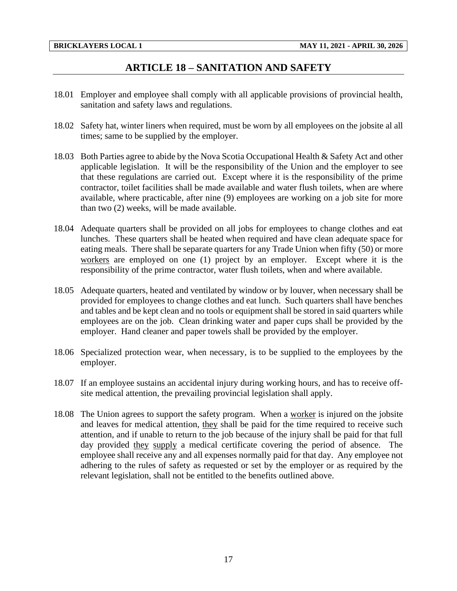## **ARTICLE 18 – SANITATION AND SAFETY**

- <span id="page-19-0"></span>18.01 Employer and employee shall comply with all applicable provisions of provincial health, sanitation and safety laws and regulations.
- 18.02 Safety hat, winter liners when required, must be worn by all employees on the jobsite al all times; same to be supplied by the employer.
- 18.03 Both Parties agree to abide by the Nova Scotia Occupational Health & Safety Act and other applicable legislation. It will be the responsibility of the Union and the employer to see that these regulations are carried out. Except where it is the responsibility of the prime contractor, toilet facilities shall be made available and water flush toilets, when are where available, where practicable, after nine (9) employees are working on a job site for more than two (2) weeks, will be made available.
- 18.04 Adequate quarters shall be provided on all jobs for employees to change clothes and eat lunches. These quarters shall be heated when required and have clean adequate space for eating meals. There shall be separate quarters for any Trade Union when fifty (50) or more workers are employed on one (1) project by an employer. Except where it is the responsibility of the prime contractor, water flush toilets, when and where available.
- 18.05 Adequate quarters, heated and ventilated by window or by louver, when necessary shall be provided for employees to change clothes and eat lunch. Such quarters shall have benches and tables and be kept clean and no tools or equipment shall be stored in said quarters while employees are on the job. Clean drinking water and paper cups shall be provided by the employer. Hand cleaner and paper towels shall be provided by the employer.
- 18.06 Specialized protection wear, when necessary, is to be supplied to the employees by the employer.
- 18.07 If an employee sustains an accidental injury during working hours, and has to receive offsite medical attention, the prevailing provincial legislation shall apply.
- 18.08 The Union agrees to support the safety program. When a worker is injured on the jobsite and leaves for medical attention, they shall be paid for the time required to receive such attention, and if unable to return to the job because of the injury shall be paid for that full day provided they supply a medical certificate covering the period of absence. The employee shall receive any and all expenses normally paid for that day. Any employee not adhering to the rules of safety as requested or set by the employer or as required by the relevant legislation, shall not be entitled to the benefits outlined above.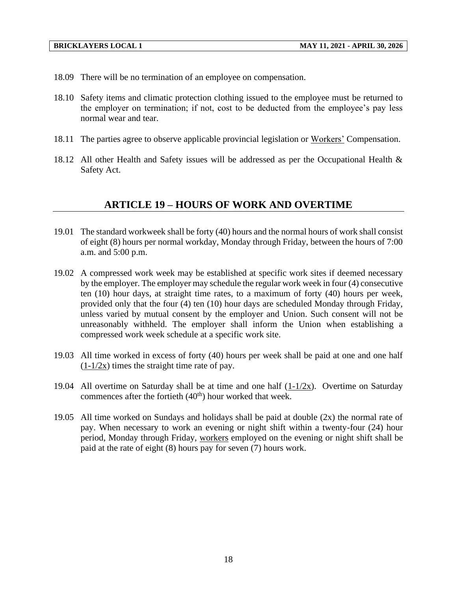- 18.09 There will be no termination of an employee on compensation.
- 18.10 Safety items and climatic protection clothing issued to the employee must be returned to the employer on termination; if not, cost to be deducted from the employee's pay less normal wear and tear.
- 18.11 The parties agree to observe applicable provincial legislation or Workers' Compensation.
- <span id="page-20-0"></span>18.12 All other Health and Safety issues will be addressed as per the Occupational Health & Safety Act.

## **ARTICLE 19 – HOURS OF WORK AND OVERTIME**

- 19.01 The standard workweek shall be forty (40) hours and the normal hours of work shall consist of eight (8) hours per normal workday, Monday through Friday, between the hours of 7:00 a.m. and 5:00 p.m.
- 19.02 A compressed work week may be established at specific work sites if deemed necessary by the employer. The employer may schedule the regular work week in four (4) consecutive ten (10) hour days, at straight time rates, to a maximum of forty (40) hours per week, provided only that the four (4) ten (10) hour days are scheduled Monday through Friday, unless varied by mutual consent by the employer and Union. Such consent will not be unreasonably withheld. The employer shall inform the Union when establishing a compressed work week schedule at a specific work site.
- 19.03 All time worked in excess of forty (40) hours per week shall be paid at one and one half  $(1-1/2x)$  times the straight time rate of pay.
- 19.04 All overtime on Saturday shall be at time and one half  $(1-1/2x)$ . Overtime on Saturday commences after the fortieth  $(40<sup>th</sup>)$  hour worked that week.
- 19.05 All time worked on Sundays and holidays shall be paid at double (2x) the normal rate of pay. When necessary to work an evening or night shift within a twenty-four (24) hour period, Monday through Friday, workers employed on the evening or night shift shall be paid at the rate of eight (8) hours pay for seven (7) hours work.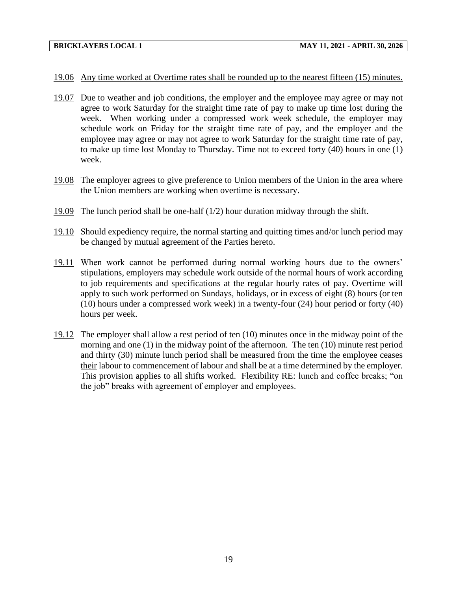#### 19.06 Any time worked at Overtime rates shall be rounded up to the nearest fifteen (15) minutes.

- 19.07 Due to weather and job conditions, the employer and the employee may agree or may not agree to work Saturday for the straight time rate of pay to make up time lost during the week. When working under a compressed work week schedule, the employer may schedule work on Friday for the straight time rate of pay, and the employer and the employee may agree or may not agree to work Saturday for the straight time rate of pay, to make up time lost Monday to Thursday. Time not to exceed forty (40) hours in one (1) week.
- 19.08 The employer agrees to give preference to Union members of the Union in the area where the Union members are working when overtime is necessary.
- 19.09 The lunch period shall be one-half (1/2) hour duration midway through the shift.
- 19.10 Should expediency require, the normal starting and quitting times and/or lunch period may be changed by mutual agreement of the Parties hereto.
- 19.11 When work cannot be performed during normal working hours due to the owners' stipulations, employers may schedule work outside of the normal hours of work according to job requirements and specifications at the regular hourly rates of pay. Overtime will apply to such work performed on Sundays, holidays, or in excess of eight (8) hours (or ten (10) hours under a compressed work week) in a twenty-four (24) hour period or forty (40) hours per week.
- 19.12 The employer shall allow a rest period of ten (10) minutes once in the midway point of the morning and one (1) in the midway point of the afternoon. The ten (10) minute rest period and thirty (30) minute lunch period shall be measured from the time the employee ceases their labour to commencement of labour and shall be at a time determined by the employer. This provision applies to all shifts worked. Flexibility RE: lunch and coffee breaks; "on the job" breaks with agreement of employer and employees.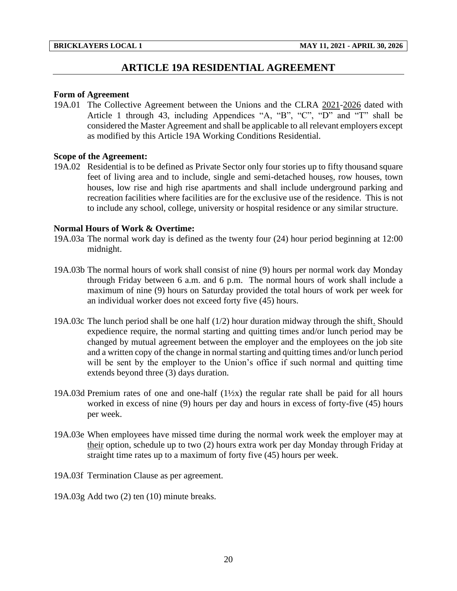## **ARTICLE 19A RESIDENTIAL AGREEMENT**

#### <span id="page-22-0"></span>**Form of Agreement**

19A.01 The Collective Agreement between the Unions and the CLRA 2021-2026 dated with Article 1 through 43, including Appendices "A, "B", "C", "D" and "T" shall be considered the Master Agreement and shall be applicable to all relevant employers except as modified by this Article 19A Working Conditions Residential.

#### **Scope of the Agreement:**

19A.02 Residential is to be defined as Private Sector only four stories up to fifty thousand square feet of living area and to include, single and semi-detached houses, row houses, town houses, low rise and high rise apartments and shall include underground parking and recreation facilities where facilities are for the exclusive use of the residence. This is not to include any school, college, university or hospital residence or any similar structure.

#### **Normal Hours of Work & Overtime:**

- 19A.03a The normal work day is defined as the twenty four (24) hour period beginning at 12:00 midnight.
- 19A.03b The normal hours of work shall consist of nine (9) hours per normal work day Monday through Friday between 6 a.m. and 6 p.m. The normal hours of work shall include a maximum of nine (9) hours on Saturday provided the total hours of work per week for an individual worker does not exceed forty five (45) hours.
- 19A.03c The lunch period shall be one half (1/2) hour duration midway through the shift. Should expedience require, the normal starting and quitting times and/or lunch period may be changed by mutual agreement between the employer and the employees on the job site and a written copy of the change in normal starting and quitting times and/or lunch period will be sent by the employer to the Union's office if such normal and quitting time extends beyond three (3) days duration.
- 19A.03d Premium rates of one and one-half  $(1\frac{1}{2}x)$  the regular rate shall be paid for all hours worked in excess of nine (9) hours per day and hours in excess of forty-five (45) hours per week.
- 19A.03e When employees have missed time during the normal work week the employer may at their option, schedule up to two (2) hours extra work per day Monday through Friday at straight time rates up to a maximum of forty five (45) hours per week.
- 19A.03f Termination Clause as per agreement.
- 19A.03g Add two (2) ten (10) minute breaks.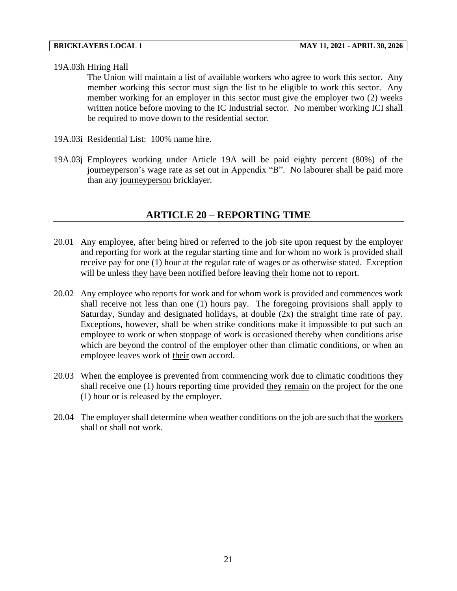#### 19A.03h Hiring Hall

The Union will maintain a list of available workers who agree to work this sector. Any member working this sector must sign the list to be eligible to work this sector. Any member working for an employer in this sector must give the employer two (2) weeks written notice before moving to the IC Industrial sector. No member working ICI shall be required to move down to the residential sector.

- 19A.03i Residential List: 100% name hire.
- <span id="page-23-0"></span>19A.03j Employees working under Article 19A will be paid eighty percent (80%) of the journeyperson's wage rate as set out in Appendix "B". No labourer shall be paid more than any journeyperson bricklayer.

## **ARTICLE 20 – REPORTING TIME**

- 20.01 Any employee, after being hired or referred to the job site upon request by the employer and reporting for work at the regular starting time and for whom no work is provided shall receive pay for one (1) hour at the regular rate of wages or as otherwise stated. Exception will be unless they have been notified before leaving their home not to report.
- 20.02 Any employee who reports for work and for whom work is provided and commences work shall receive not less than one (1) hours pay. The foregoing provisions shall apply to Saturday, Sunday and designated holidays, at double (2x) the straight time rate of pay. Exceptions, however, shall be when strike conditions make it impossible to put such an employee to work or when stoppage of work is occasioned thereby when conditions arise which are beyond the control of the employer other than climatic conditions, or when an employee leaves work of their own accord.
- 20.03 When the employee is prevented from commencing work due to climatic conditions they shall receive one (1) hours reporting time provided they remain on the project for the one (1) hour or is released by the employer.
- 20.04 The employer shall determine when weather conditions on the job are such that the workers shall or shall not work.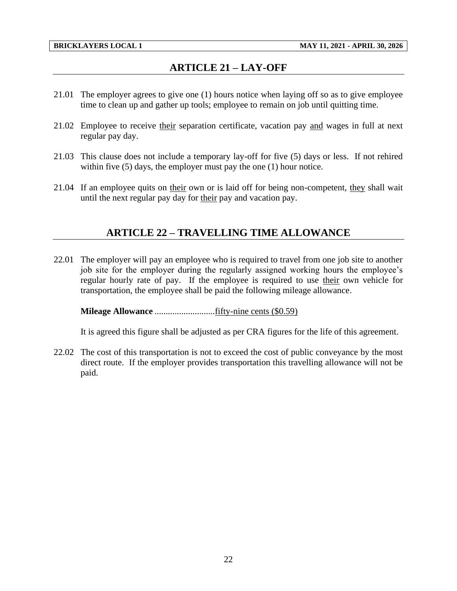# **ARTICLE 21 – LAY-OFF**

- <span id="page-24-0"></span>21.01 The employer agrees to give one (1) hours notice when laying off so as to give employee time to clean up and gather up tools; employee to remain on job until quitting time.
- 21.02 Employee to receive their separation certificate, vacation pay and wages in full at next regular pay day.
- 21.03 This clause does not include a temporary lay-off for five (5) days or less. If not rehired within five (5) days, the employer must pay the one (1) hour notice.
- <span id="page-24-1"></span>21.04 If an employee quits on their own or is laid off for being non-competent, they shall wait until the next regular pay day for their pay and vacation pay.

## **ARTICLE 22 – TRAVELLING TIME ALLOWANCE**

22.01 The employer will pay an employee who is required to travel from one job site to another job site for the employer during the regularly assigned working hours the employee's regular hourly rate of pay. If the employee is required to use their own vehicle for transportation, the employee shall be paid the following mileage allowance.

**Mileage Allowance** ...........................fifty-nine cents (\$0.59)

It is agreed this figure shall be adjusted as per CRA figures for the life of this agreement.

22.02 The cost of this transportation is not to exceed the cost of public conveyance by the most direct route. If the employer provides transportation this travelling allowance will not be paid.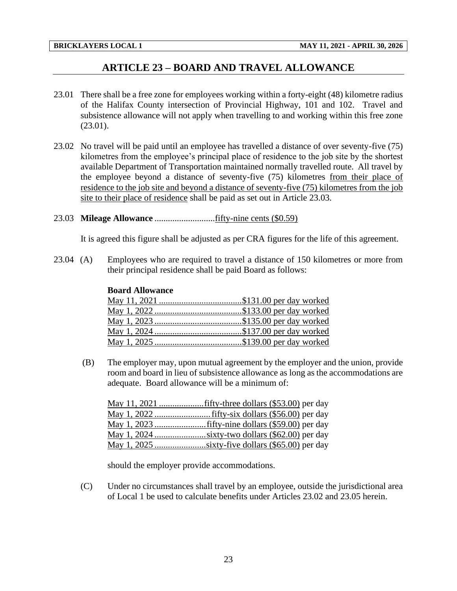## **ARTICLE 23 – BOARD AND TRAVEL ALLOWANCE**

- <span id="page-25-0"></span>23.01 There shall be a free zone for employees working within a forty-eight (48) kilometre radius of the Halifax County intersection of Provincial Highway, 101 and 102. Travel and subsistence allowance will not apply when travelling to and working within this free zone (23.01).
- 23.02 No travel will be paid until an employee has travelled a distance of over seventy-five (75) kilometres from the employee's principal place of residence to the job site by the shortest available Department of Transportation maintained normally travelled route. All travel by the employee beyond a distance of seventy-five (75) kilometres from their place of residence to the job site and beyond a distance of seventy-five (75) kilometres from the job site to their place of residence shall be paid as set out in Article 23.03.
- 23.03 **Mileage Allowance** ...........................fifty-nine cents (\$0.59)

It is agreed this figure shall be adjusted as per CRA figures for the life of this agreement.

23.04 (A) Employees who are required to travel a distance of 150 kilometres or more from their principal residence shall be paid Board as follows:

#### **Board Allowance**

(B) The employer may, upon mutual agreement by the employer and the union, provide room and board in lieu of subsistence allowance as long as the accommodations are adequate. Board allowance will be a minimum of:

should the employer provide accommodations.

(C) Under no circumstances shall travel by an employee, outside the jurisdictional area of Local 1 be used to calculate benefits under Articles 23.02 and 23.05 herein.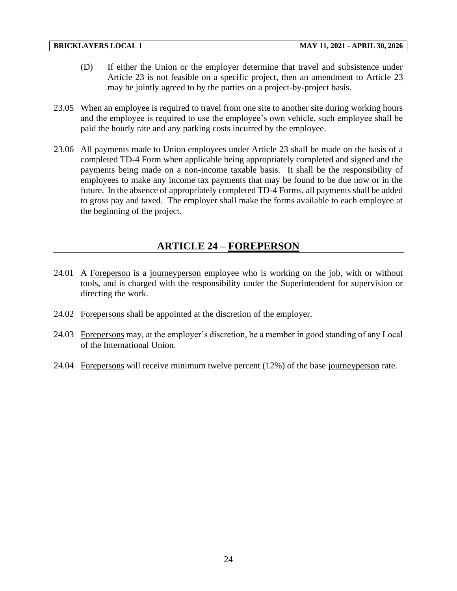- (D) If either the Union or the employer determine that travel and subsistence under Article 23 is not feasible on a specific project, then an amendment to Article 23 may be jointly agreed to by the parties on a project-by-project basis.
- 23.05 When an employee is required to travel from one site to another site during working hours and the employee is required to use the employee's own vehicle, such employee shall be paid the hourly rate and any parking costs incurred by the employee.
- 23.06 All payments made to Union employees under Article 23 shall be made on the basis of a completed TD-4 Form when applicable being appropriately completed and signed and the payments being made on a non-income taxable basis. It shall be the responsibility of employees to make any income tax payments that may be found to be due now or in the future. In the absence of appropriately completed TD-4 Forms, all payments shall be added to gross pay and taxed. The employer shall make the forms available to each employee at the beginning of the project.

# **ARTICLE 24 – FOREPERSON**

- <span id="page-26-0"></span>24.01 A Foreperson is a journeyperson employee who is working on the job, with or without tools, and is charged with the responsibility under the Superintendent for supervision or directing the work.
- 24.02 Forepersons shall be appointed at the discretion of the employer.
- 24.03 Forepersons may, at the employer's discretion, be a member in good standing of any Local of the International Union.
- 24.04 Forepersons will receive minimum twelve percent (12%) of the base journeyperson rate.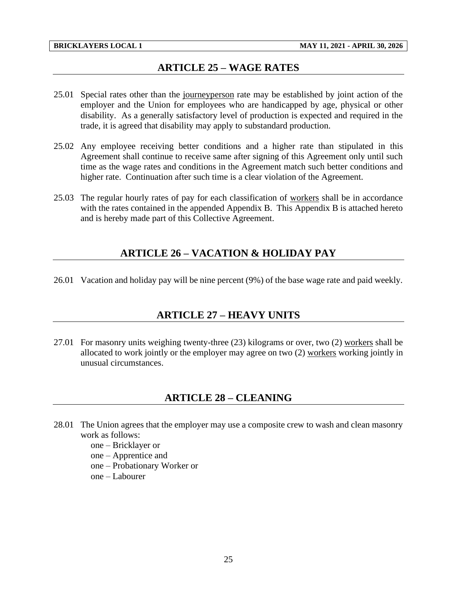## **ARTICLE 25 – WAGE RATES**

- <span id="page-27-0"></span>25.01 Special rates other than the journeyperson rate may be established by joint action of the employer and the Union for employees who are handicapped by age, physical or other disability. As a generally satisfactory level of production is expected and required in the trade, it is agreed that disability may apply to substandard production.
- 25.02 Any employee receiving better conditions and a higher rate than stipulated in this Agreement shall continue to receive same after signing of this Agreement only until such time as the wage rates and conditions in the Agreement match such better conditions and higher rate. Continuation after such time is a clear violation of the Agreement.
- <span id="page-27-1"></span>25.03 The regular hourly rates of pay for each classification of workers shall be in accordance with the rates contained in the appended Appendix B. This Appendix B is attached hereto and is hereby made part of this Collective Agreement.

## **ARTICLE 26 – VACATION & HOLIDAY PAY**

<span id="page-27-2"></span>26.01 Vacation and holiday pay will be nine percent (9%) of the base wage rate and paid weekly.

## **ARTICLE 27 – HEAVY UNITS**

<span id="page-27-3"></span>27.01 For masonry units weighing twenty-three (23) kilograms or over, two (2) workers shall be allocated to work jointly or the employer may agree on two (2) workers working jointly in unusual circumstances.

## **ARTICLE 28 – CLEANING**

- 28.01 The Union agrees that the employer may use a composite crew to wash and clean masonry work as follows:
	- one Bricklayer or
	- one Apprentice and
	- one Probationary Worker or
	- one Labourer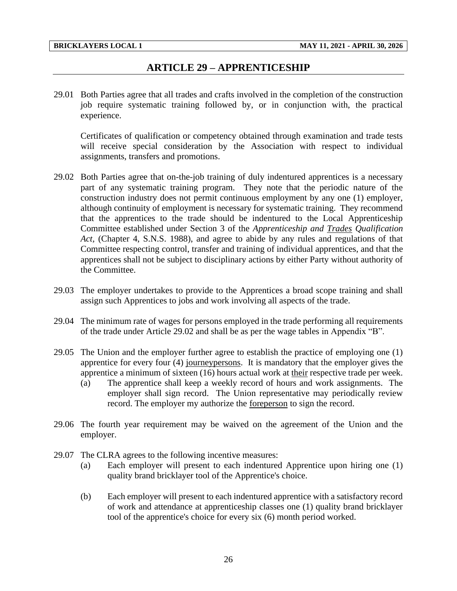## **ARTICLE 29 – APPRENTICESHIP**

<span id="page-28-0"></span>29.01 Both Parties agree that all trades and crafts involved in the completion of the construction job require systematic training followed by, or in conjunction with, the practical experience.

Certificates of qualification or competency obtained through examination and trade tests will receive special consideration by the Association with respect to individual assignments, transfers and promotions.

- 29.02 Both Parties agree that on-the-job training of duly indentured apprentices is a necessary part of any systematic training program. They note that the periodic nature of the construction industry does not permit continuous employment by any one (1) employer, although continuity of employment is necessary for systematic training. They recommend that the apprentices to the trade should be indentured to the Local Apprenticeship Committee established under Section 3 of the *Apprenticeship and Trades Qualification Act,* (Chapter 4, S.N.S. 1988), and agree to abide by any rules and regulations of that Committee respecting control, transfer and training of individual apprentices, and that the apprentices shall not be subject to disciplinary actions by either Party without authority of the Committee.
- 29.03 The employer undertakes to provide to the Apprentices a broad scope training and shall assign such Apprentices to jobs and work involving all aspects of the trade.
- 29.04 The minimum rate of wages for persons employed in the trade performing all requirements of the trade under Article 29.02 and shall be as per the wage tables in Appendix "B".
- 29.05 The Union and the employer further agree to establish the practice of employing one (1) apprentice for every four (4) journeypersons. It is mandatory that the employer gives the apprentice a minimum of sixteen (16) hours actual work at their respective trade per week.
	- (a) The apprentice shall keep a weekly record of hours and work assignments. The employer shall sign record. The Union representative may periodically review record. The employer my authorize the foreperson to sign the record.
- 29.06 The fourth year requirement may be waived on the agreement of the Union and the employer.
- 29.07 The CLRA agrees to the following incentive measures:
	- (a) Each employer will present to each indentured Apprentice upon hiring one (1) quality brand bricklayer tool of the Apprentice's choice.
	- (b) Each employer will present to each indentured apprentice with a satisfactory record of work and attendance at apprenticeship classes one (1) quality brand bricklayer tool of the apprentice's choice for every six (6) month period worked.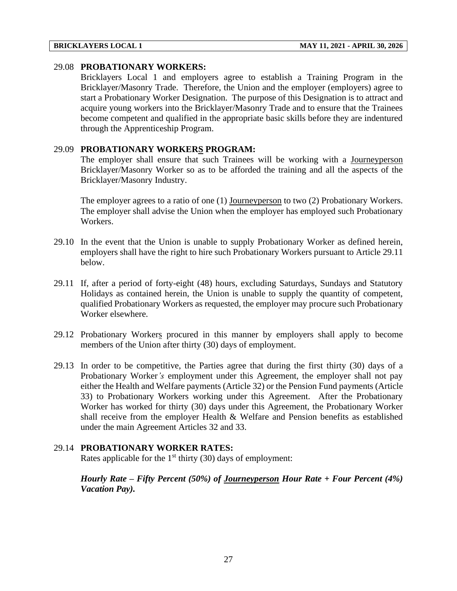### 29.08 **PROBATIONARY WORKERS:**

Bricklayers Local 1 and employers agree to establish a Training Program in the Bricklayer/Masonry Trade. Therefore, the Union and the employer (employers) agree to start a Probationary Worker Designation. The purpose of this Designation is to attract and acquire young workers into the Bricklayer/Masonry Trade and to ensure that the Trainees become competent and qualified in the appropriate basic skills before they are indentured through the Apprenticeship Program.

#### 29.09 **PROBATIONARY WORKERS PROGRAM:**

The employer shall ensure that such Trainees will be working with a Journeyperson Bricklayer/Masonry Worker so as to be afforded the training and all the aspects of the Bricklayer/Masonry Industry.

The employer agrees to a ratio of one (1) Journeyperson to two (2) Probationary Workers. The employer shall advise the Union when the employer has employed such Probationary Workers.

- 29.10 In the event that the Union is unable to supply Probationary Worker as defined herein, employers shall have the right to hire such Probationary Workers pursuant to Article 29.11 below.
- 29.11 If, after a period of forty-eight (48) hours, excluding Saturdays, Sundays and Statutory Holidays as contained herein, the Union is unable to supply the quantity of competent, qualified Probationary Workers as requested, the employer may procure such Probationary Worker elsewhere.
- 29.12 Probationary Workers procured in this manner by employers shall apply to become members of the Union after thirty (30) days of employment.
- 29.13 In order to be competitive, the Parties agree that during the first thirty (30) days of a Probationary Worker*'s* employment under this Agreement, the employer shall not pay either the Health and Welfare payments (Article 32) or the Pension Fund payments (Article 33) to Probationary Workers working under this Agreement. After the Probationary Worker has worked for thirty (30) days under this Agreement, the Probationary Worker shall receive from the employer Health & Welfare and Pension benefits as established under the main Agreement Articles 32 and 33.

### 29.14 **PROBATIONARY WORKER RATES:**

Rates applicable for the  $1<sup>st</sup>$  thirty (30) days of employment:

*Hourly Rate – Fifty Percent (50%) of Journeyperson Hour Rate + Four Percent (4%) Vacation Pay).*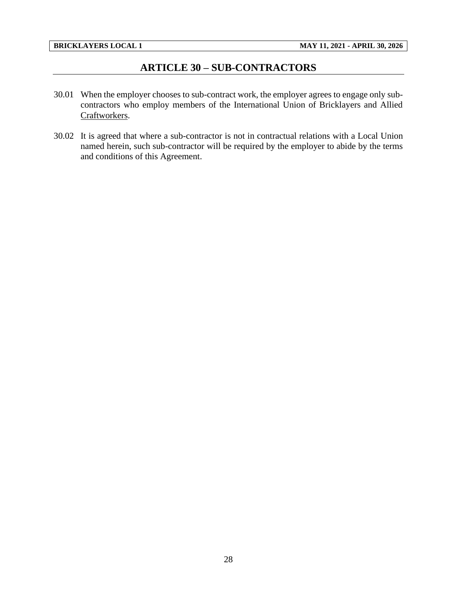## **ARTICLE 30 – SUB-CONTRACTORS**

- <span id="page-30-0"></span>30.01 When the employer chooses to sub-contract work, the employer agrees to engage only subcontractors who employ members of the International Union of Bricklayers and Allied Craftworkers.
- 30.02 It is agreed that where a sub-contractor is not in contractual relations with a Local Union named herein, such sub-contractor will be required by the employer to abide by the terms and conditions of this Agreement.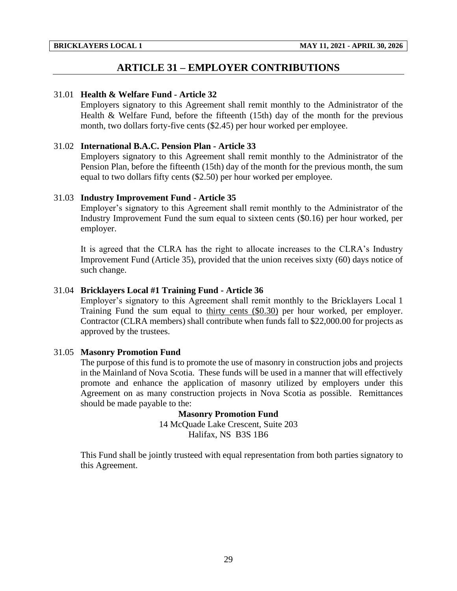## **ARTICLE 31 – EMPLOYER CONTRIBUTIONS**

#### <span id="page-31-0"></span>31.01 **Health & Welfare Fund - Article 32**

Employers signatory to this Agreement shall remit monthly to the Administrator of the Health & Welfare Fund, before the fifteenth (15th) day of the month for the previous month, two dollars forty-five cents (\$2.45) per hour worked per employee.

#### 31.02 **International B.A.C. Pension Plan - Article 33**

Employers signatory to this Agreement shall remit monthly to the Administrator of the Pension Plan, before the fifteenth (15th) day of the month for the previous month, the sum equal to two dollars fifty cents (\$2.50) per hour worked per employee.

#### 31.03 **Industry Improvement Fund - Article 35**

Employer's signatory to this Agreement shall remit monthly to the Administrator of the Industry Improvement Fund the sum equal to sixteen cents (\$0.16) per hour worked, per employer.

It is agreed that the CLRA has the right to allocate increases to the CLRA's Industry Improvement Fund (Article 35), provided that the union receives sixty (60) days notice of such change.

#### 31.04 **Bricklayers Local #1 Training Fund - Article 36**

Employer's signatory to this Agreement shall remit monthly to the Bricklayers Local 1 Training Fund the sum equal to thirty cents (\$0.30) per hour worked, per employer. Contractor (CLRA members) shall contribute when funds fall to \$22,000.00 for projects as approved by the trustees.

#### 31.05 **Masonry Promotion Fund**

The purpose of this fund is to promote the use of masonry in construction jobs and projects in the Mainland of Nova Scotia. These funds will be used in a manner that will effectively promote and enhance the application of masonry utilized by employers under this Agreement on as many construction projects in Nova Scotia as possible. Remittances should be made payable to the:

> **Masonry Promotion Fund** 14 McQuade Lake Crescent, Suite 203 Halifax, NS B3S 1B6

This Fund shall be jointly trusteed with equal representation from both parties signatory to this Agreement.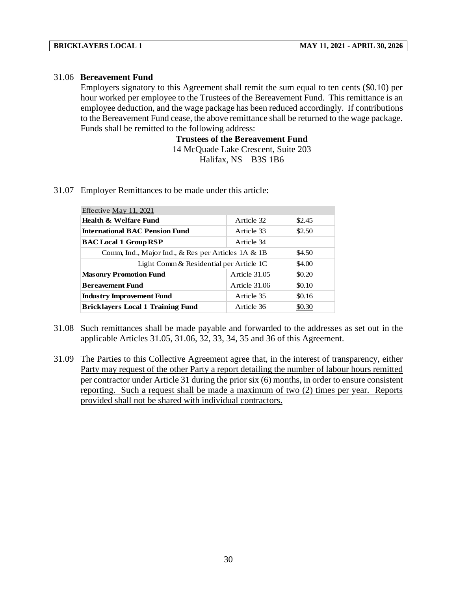#### 31.06 **Bereavement Fund**

Employers signatory to this Agreement shall remit the sum equal to ten cents (\$0.10) per hour worked per employee to the Trustees of the Bereavement Fund. This remittance is an employee deduction, and the wage package has been reduced accordingly. If contributions to the Bereavement Fund cease, the above remittance shall be returned to the wage package. Funds shall be remitted to the following address:

> **Trustees of the Bereavement Fund** 14 McQuade Lake Crescent, Suite 203 Halifax, NS B3S 1B6

31.07 Employer Remittances to be made under this article:

| Effective May 11, 2021                                |               |        |  |  |  |  |  |  |
|-------------------------------------------------------|---------------|--------|--|--|--|--|--|--|
| Health & Welfare Fund                                 | Article 32    | \$2.45 |  |  |  |  |  |  |
| <b>International BAC Pension Fund</b>                 | Article 33    | \$2.50 |  |  |  |  |  |  |
| <b>BAC Local 1 Group RSP</b>                          | Article 34    |        |  |  |  |  |  |  |
| Comm, Ind., Major Ind., & Res per Articles $1A \& 1B$ | \$4.50        |        |  |  |  |  |  |  |
| Light Comm & Residential per Article 1C               |               | \$4.00 |  |  |  |  |  |  |
| <b>Masonry Promotion Fund</b>                         | Article 31.05 | \$0.20 |  |  |  |  |  |  |
| <b>Bereavement Fund</b>                               | Article 31.06 | \$0.10 |  |  |  |  |  |  |
| <b>Industry Improvement Fund</b>                      | Article 35    | \$0.16 |  |  |  |  |  |  |
| <b>Bricklavers Local 1 Training Fund</b>              | Article 36    | \$0.30 |  |  |  |  |  |  |

- 31.08 Such remittances shall be made payable and forwarded to the addresses as set out in the applicable Articles 31.05, 31.06, 32, 33, 34, 35 and 36 of this Agreement.
- 31.09 The Parties to this Collective Agreement agree that, in the interest of transparency, either Party may request of the other Party a report detailing the number of labour hours remitted per contractor under Article 31 during the prior six (6) months, in order to ensure consistent reporting. Such a request shall be made a maximum of two (2) times per year. Reports provided shall not be shared with individual contractors.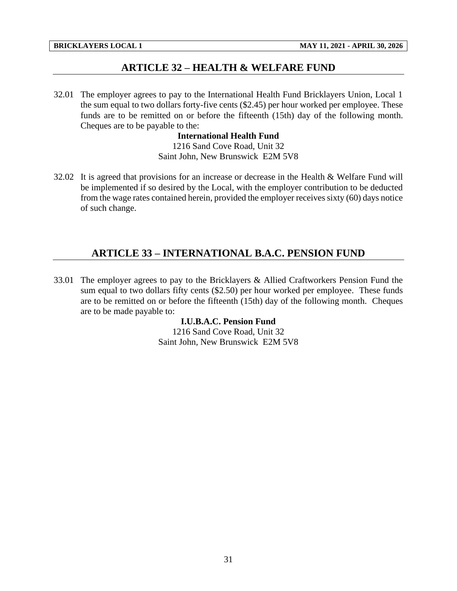## **ARTICLE 32 – HEALTH & WELFARE FUND**

<span id="page-33-0"></span>32.01 The employer agrees to pay to the International Health Fund Bricklayers Union, Local 1 the sum equal to two dollars forty-five cents (\$2.45) per hour worked per employee. These funds are to be remitted on or before the fifteenth (15th) day of the following month. Cheques are to be payable to the:

#### **International Health Fund**

1216 Sand Cove Road, Unit 32 Saint John, New Brunswick E2M 5V8

32.02 It is agreed that provisions for an increase or decrease in the Health & Welfare Fund will be implemented if so desired by the Local, with the employer contribution to be deducted from the wage rates contained herein, provided the employer receives sixty (60) days notice of such change.

## <span id="page-33-1"></span>**ARTICLE 33 – INTERNATIONAL B.A.C. PENSION FUND**

33.01 The employer agrees to pay to the Bricklayers & Allied Craftworkers Pension Fund the sum equal to two dollars fifty cents (\$2.50) per hour worked per employee. These funds are to be remitted on or before the fifteenth (15th) day of the following month. Cheques are to be made payable to:

## **I.U.B.A.C. Pension Fund**

1216 Sand Cove Road, Unit 32 Saint John, New Brunswick E2M 5V8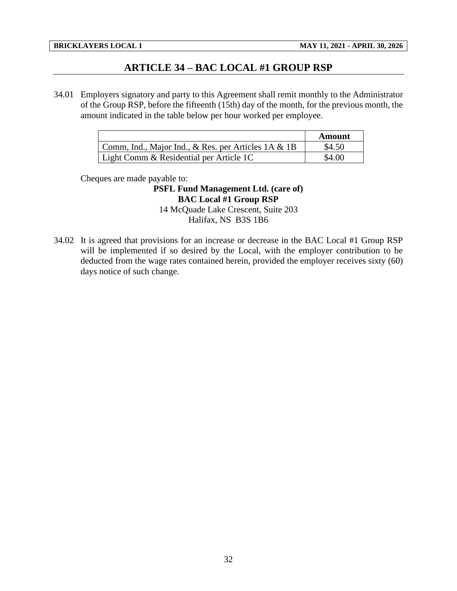## **ARTICLE 34 – BAC LOCAL #1 GROUP RSP**

<span id="page-34-0"></span>34.01 Employers signatory and party to this Agreement shall remit monthly to the Administrator of the Group RSP, before the fifteenth (15th) day of the month, for the previous month, the amount indicated in the table below per hour worked per employee.

|                                                     | Amount |
|-----------------------------------------------------|--------|
| Comm, Ind., Major Ind., & Res. per Articles 1A & 1B | \$4.50 |
| Light Comm & Residential per Article 1C             | \$4.00 |

Cheques are made payable to:

**PSFL Fund Management Ltd. (care of) BAC Local #1 Group RSP** 14 McQuade Lake Crescent, Suite 203 Halifax, NS B3S 1B6

34.02 It is agreed that provisions for an increase or decrease in the BAC Local #1 Group RSP will be implemented if so desired by the Local, with the employer contribution to be deducted from the wage rates contained herein, provided the employer receives sixty (60) days notice of such change.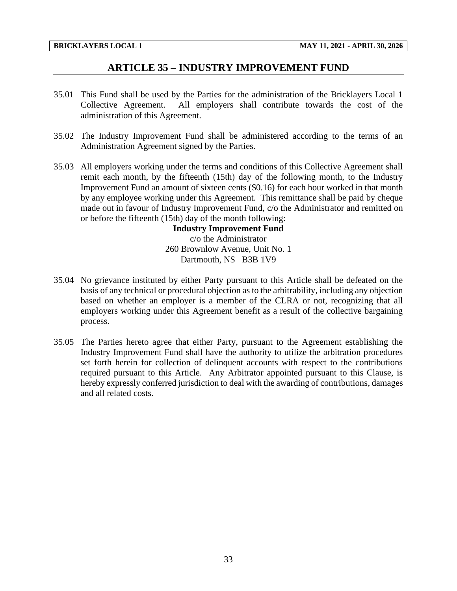## **ARTICLE 35 – INDUSTRY IMPROVEMENT FUND**

- <span id="page-35-0"></span>35.01 This Fund shall be used by the Parties for the administration of the Bricklayers Local 1 Collective Agreement. All employers shall contribute towards the cost of the administration of this Agreement.
- 35.02 The Industry Improvement Fund shall be administered according to the terms of an Administration Agreement signed by the Parties.
- 35.03 All employers working under the terms and conditions of this Collective Agreement shall remit each month, by the fifteenth (15th) day of the following month, to the Industry Improvement Fund an amount of sixteen cents (\$0.16) for each hour worked in that month by any employee working under this Agreement. This remittance shall be paid by cheque made out in favour of Industry Improvement Fund, c/o the Administrator and remitted on or before the fifteenth (15th) day of the month following:

**Industry Improvement Fund** c/o the Administrator 260 Brownlow Avenue, Unit No. 1 Dartmouth, NS B3B 1V9

- 35.04 No grievance instituted by either Party pursuant to this Article shall be defeated on the basis of any technical or procedural objection as to the arbitrability, including any objection based on whether an employer is a member of the CLRA or not, recognizing that all employers working under this Agreement benefit as a result of the collective bargaining process.
- 35.05 The Parties hereto agree that either Party, pursuant to the Agreement establishing the Industry Improvement Fund shall have the authority to utilize the arbitration procedures set forth herein for collection of delinquent accounts with respect to the contributions required pursuant to this Article. Any Arbitrator appointed pursuant to this Clause, is hereby expressly conferred jurisdiction to deal with the awarding of contributions, damages and all related costs.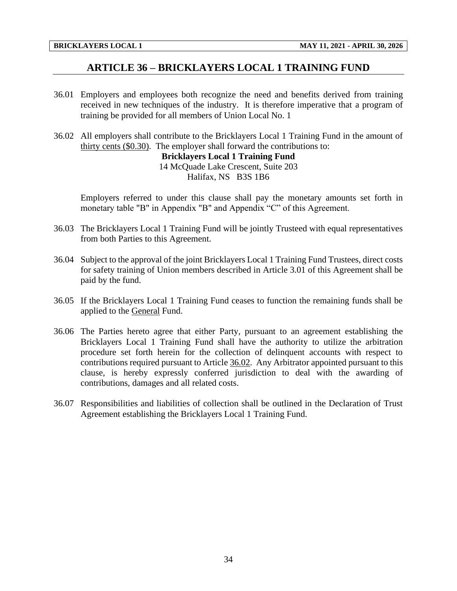## **ARTICLE 36 – BRICKLAYERS LOCAL 1 TRAINING FUND**

- <span id="page-36-0"></span>36.01 Employers and employees both recognize the need and benefits derived from training received in new techniques of the industry. It is therefore imperative that a program of training be provided for all members of Union Local No. 1
- 36.02 All employers shall contribute to the Bricklayers Local 1 Training Fund in the amount of thirty cents (\$0.30). The employer shall forward the contributions to: **Bricklayers Local 1 Training Fund** 14 McQuade Lake Crescent, Suite 203

### Halifax, NS B3S 1B6

Employers referred to under this clause shall pay the monetary amounts set forth in monetary table "B" in Appendix "B" and Appendix "C" of this Agreement.

- 36.03 The Bricklayers Local 1 Training Fund will be jointly Trusteed with equal representatives from both Parties to this Agreement.
- 36.04 Subject to the approval of the joint Bricklayers Local 1 Training Fund Trustees, direct costs for safety training of Union members described in Article 3.01 of this Agreement shall be paid by the fund.
- 36.05 If the Bricklayers Local 1 Training Fund ceases to function the remaining funds shall be applied to the General Fund.
- 36.06 The Parties hereto agree that either Party, pursuant to an agreement establishing the Bricklayers Local 1 Training Fund shall have the authority to utilize the arbitration procedure set forth herein for the collection of delinquent accounts with respect to contributions required pursuant to Article 36.02. Any Arbitrator appointed pursuant to this clause, is hereby expressly conferred jurisdiction to deal with the awarding of contributions, damages and all related costs.
- 36.07 Responsibilities and liabilities of collection shall be outlined in the Declaration of Trust Agreement establishing the Bricklayers Local 1 Training Fund.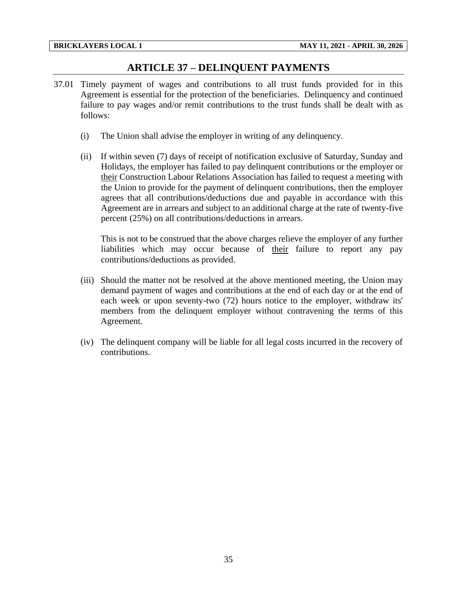## **ARTICLE 37 – DELINQUENT PAYMENTS**

- <span id="page-37-0"></span>37.01 Timely payment of wages and contributions to all trust funds provided for in this Agreement is essential for the protection of the beneficiaries. Delinquency and continued failure to pay wages and/or remit contributions to the trust funds shall be dealt with as follows:
	- (i) The Union shall advise the employer in writing of any delinquency.
	- (ii) If within seven (7) days of receipt of notification exclusive of Saturday, Sunday and Holidays, the employer has failed to pay delinquent contributions or the employer or their Construction Labour Relations Association has failed to request a meeting with the Union to provide for the payment of delinquent contributions, then the employer agrees that all contributions/deductions due and payable in accordance with this Agreement are in arrears and subject to an additional charge at the rate of twenty-five percent (25%) on all contributions/deductions in arrears.

This is not to be construed that the above charges relieve the employer of any further liabilities which may occur because of their failure to report any pay contributions/deductions as provided.

- (iii) Should the matter not be resolved at the above mentioned meeting, the Union may demand payment of wages and contributions at the end of each day or at the end of each week or upon seventy-two (72) hours notice to the employer, withdraw its' members from the delinquent employer without contravening the terms of this Agreement.
- (iv) The delinquent company will be liable for all legal costs incurred in the recovery of contributions.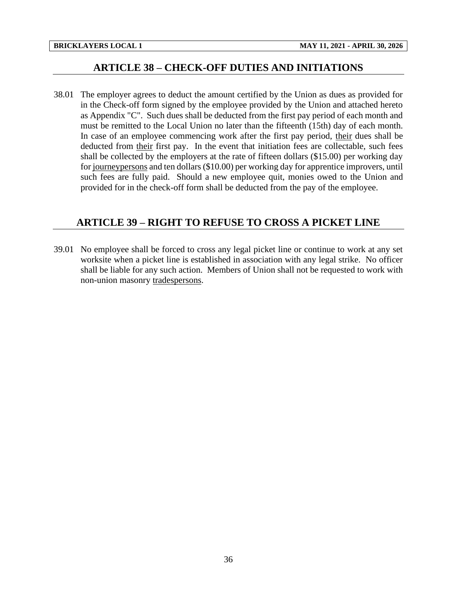## **ARTICLE 38 – CHECK-OFF DUTIES AND INITIATIONS**

<span id="page-38-0"></span>38.01 The employer agrees to deduct the amount certified by the Union as dues as provided for in the Check-off form signed by the employee provided by the Union and attached hereto as Appendix "C". Such dues shall be deducted from the first pay period of each month and must be remitted to the Local Union no later than the fifteenth (15th) day of each month. In case of an employee commencing work after the first pay period, their dues shall be deducted from their first pay. In the event that initiation fees are collectable, such fees shall be collected by the employers at the rate of fifteen dollars (\$15.00) per working day for journeypersons and ten dollars (\$10.00) per working day for apprentice improvers, until such fees are fully paid. Should a new employee quit, monies owed to the Union and provided for in the check-off form shall be deducted from the pay of the employee.

## <span id="page-38-1"></span>**ARTICLE 39 – RIGHT TO REFUSE TO CROSS A PICKET LINE**

39.01 No employee shall be forced to cross any legal picket line or continue to work at any set worksite when a picket line is established in association with any legal strike. No officer shall be liable for any such action. Members of Union shall not be requested to work with non-union masonry tradespersons.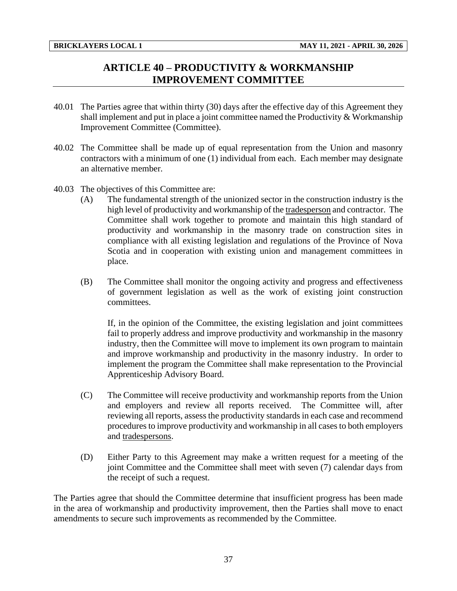# **ARTICLE 40 – PRODUCTIVITY & WORKMANSHIP IMPROVEMENT COMMITTEE**

- <span id="page-39-0"></span>40.01 The Parties agree that within thirty (30) days after the effective day of this Agreement they shall implement and put in place a joint committee named the Productivity  $& Workmanship$ Improvement Committee (Committee).
- 40.02 The Committee shall be made up of equal representation from the Union and masonry contractors with a minimum of one (1) individual from each. Each member may designate an alternative member.
- 40.03 The objectives of this Committee are:
	- (A) The fundamental strength of the unionized sector in the construction industry is the high level of productivity and workmanship of the tradesperson and contractor. The Committee shall work together to promote and maintain this high standard of productivity and workmanship in the masonry trade on construction sites in compliance with all existing legislation and regulations of the Province of Nova Scotia and in cooperation with existing union and management committees in place.
	- (B) The Committee shall monitor the ongoing activity and progress and effectiveness of government legislation as well as the work of existing joint construction committees.

If, in the opinion of the Committee, the existing legislation and joint committees fail to properly address and improve productivity and workmanship in the masonry industry, then the Committee will move to implement its own program to maintain and improve workmanship and productivity in the masonry industry. In order to implement the program the Committee shall make representation to the Provincial Apprenticeship Advisory Board.

- (C) The Committee will receive productivity and workmanship reports from the Union and employers and review all reports received. The Committee will, after reviewing all reports, assess the productivity standards in each case and recommend procedures to improve productivity and workmanship in all cases to both employers and tradespersons.
- (D) Either Party to this Agreement may make a written request for a meeting of the joint Committee and the Committee shall meet with seven (7) calendar days from the receipt of such a request.

The Parties agree that should the Committee determine that insufficient progress has been made in the area of workmanship and productivity improvement, then the Parties shall move to enact amendments to secure such improvements as recommended by the Committee.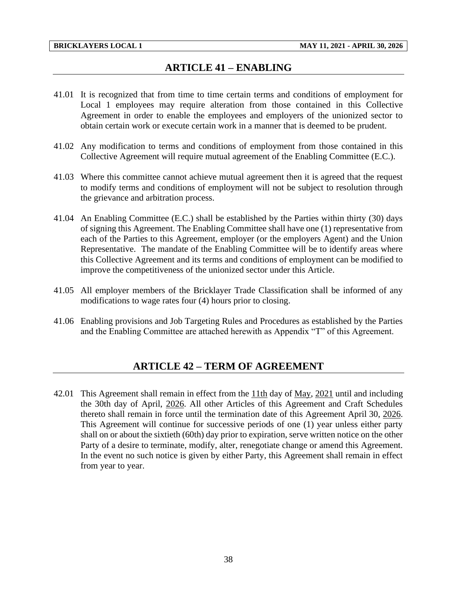## **ARTICLE 41 – ENABLING**

- <span id="page-40-0"></span>41.01 It is recognized that from time to time certain terms and conditions of employment for Local 1 employees may require alteration from those contained in this Collective Agreement in order to enable the employees and employers of the unionized sector to obtain certain work or execute certain work in a manner that is deemed to be prudent.
- 41.02 Any modification to terms and conditions of employment from those contained in this Collective Agreement will require mutual agreement of the Enabling Committee (E.C.).
- 41.03 Where this committee cannot achieve mutual agreement then it is agreed that the request to modify terms and conditions of employment will not be subject to resolution through the grievance and arbitration process.
- 41.04 An Enabling Committee (E.C.) shall be established by the Parties within thirty (30) days of signing this Agreement. The Enabling Committee shall have one (1) representative from each of the Parties to this Agreement, employer (or the employers Agent) and the Union Representative. The mandate of the Enabling Committee will be to identify areas where this Collective Agreement and its terms and conditions of employment can be modified to improve the competitiveness of the unionized sector under this Article.
- 41.05 All employer members of the Bricklayer Trade Classification shall be informed of any modifications to wage rates four (4) hours prior to closing.
- <span id="page-40-1"></span>41.06 Enabling provisions and Job Targeting Rules and Procedures as established by the Parties and the Enabling Committee are attached herewith as Appendix "T" of this Agreement.

# **ARTICLE 42 – TERM OF AGREEMENT**

42.01 This Agreement shall remain in effect from the 11th day of May, 2021 until and including the 30th day of April, 2026. All other Articles of this Agreement and Craft Schedules thereto shall remain in force until the termination date of this Agreement April 30, 2026. This Agreement will continue for successive periods of one (1) year unless either party shall on or about the sixtieth (60th) day prior to expiration, serve written notice on the other Party of a desire to terminate, modify, alter, renegotiate change or amend this Agreement. In the event no such notice is given by either Party, this Agreement shall remain in effect from year to year.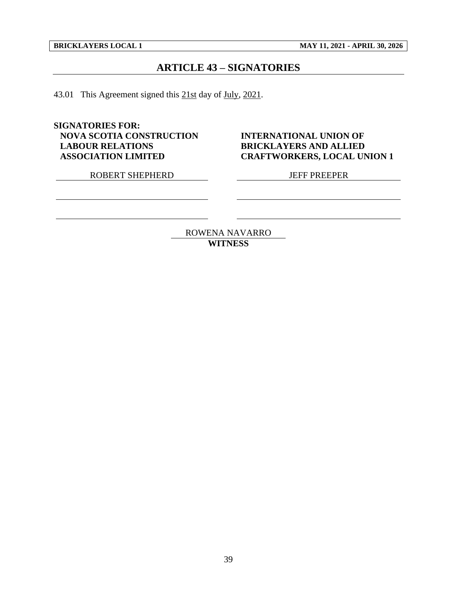## **ARTICLE 43 – SIGNATORIES**

<span id="page-41-0"></span>43.01 This Agreement signed this 21st day of July, 2021.

**SIGNATORIES FOR: NOVA SCOTIA CONSTRUCTION LABOUR RELATIONS ASSOCIATION LIMITED**

ROBERT SHEPHERD JEFF PREEPER

**INTERNATIONAL UNION OF BRICKLAYERS AND ALLIED CRAFTWORKERS, LOCAL UNION 1**

ROWENA NAVARRO **WITNESS**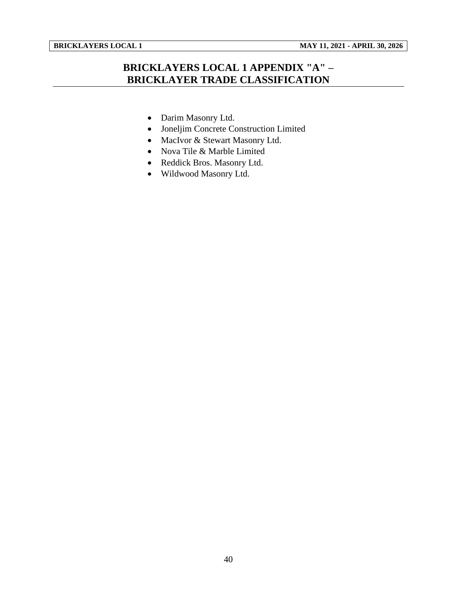<span id="page-42-0"></span>

# **BRICKLAYERS LOCAL 1 APPENDIX "A" – BRICKLAYER TRADE CLASSIFICATION**

- Darim Masonry Ltd.
- Joneljim Concrete Construction Limited
- MacIvor & Stewart Masonry Ltd.
- Nova Tile & Marble Limited
- Reddick Bros. Masonry Ltd.
- Wildwood Masonry Ltd.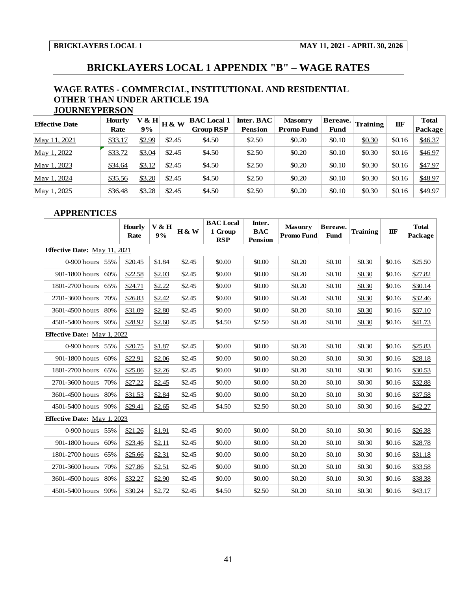<span id="page-43-0"></span>

## **BRICKLAYERS LOCAL 1 APPENDIX "B" – WAGE RATES**

#### **WAGE RATES - COMMERCIAL, INSTITUTIONAL AND RESIDENTIAL OTHER THAN UNDER ARTICLE 19A JOURNEYPERSON**

| WAGE RATES - COMMERCIAL, INSTITUTIONAL AND RESIDENTIAL |                      |        |        |                    |                |                   |             |                 |        |              |
|--------------------------------------------------------|----------------------|--------|--------|--------------------|----------------|-------------------|-------------|-----------------|--------|--------------|
| <b>OTHER THAN UNDER ARTICLE 19A</b>                    |                      |        |        |                    |                |                   |             |                 |        |              |
|                                                        | <b>JOURNEYPERSON</b> |        |        |                    |                |                   |             |                 |        |              |
| <b>Effective Date</b>                                  | Hourly               | V & H  | H & W  | <b>BAC</b> Local 1 | Inter. BAC     | <b>Masonry</b>    | Bereave.    | <b>Training</b> | IIF    | <b>Total</b> |
|                                                        | Rate                 | 9%     |        | <b>Group RSP</b>   | <b>Pension</b> | <b>Promo Fund</b> | <b>Fund</b> |                 |        | Package      |
| May 11, 2021                                           | \$33.17              | \$2.99 | \$2.45 | \$4.50             | \$2.50         | \$0.20            | \$0.10      | \$0.30          | \$0.16 | \$46.37      |
| May 1, 2022                                            | \$33.72              | \$3.04 | \$2.45 | \$4.50             | \$2.50         | \$0.20            | \$0.10      | \$0.30          | \$0.16 | \$46.97      |
| May 1, 2023                                            | \$34.64              | \$3.12 | \$2.45 | \$4.50             | \$2.50         | \$0.20            | \$0.10      | \$0.30          | \$0.16 | \$47.97      |
| May 1, 2024                                            | \$35.56              | \$3.20 | \$2.45 | \$4.50             | \$2.50         | \$0.20            | \$0.10      | \$0.30          | \$0.16 | \$48.97      |
| May 1, 2025                                            | \$36.48              | \$3.28 | \$2.45 | \$4.50             | \$2.50         | \$0.20            | \$0.10      | \$0.30          | \$0.16 | \$49.97      |

#### **APPRENTICES**

| <b>APPRENTICES</b>                  |     |                |             |          |                                           |                                        |                                     |                         |                 |        |                         |
|-------------------------------------|-----|----------------|-------------|----------|-------------------------------------------|----------------------------------------|-------------------------------------|-------------------------|-----------------|--------|-------------------------|
|                                     |     | Hourly<br>Rate | V & H<br>9% | $H \& W$ | <b>BAC</b> Local<br>1 Group<br><b>RSP</b> | Inter.<br><b>BAC</b><br><b>Pension</b> | <b>Masonry</b><br><b>Promo Fund</b> | Bereave.<br><b>Fund</b> | <b>Training</b> | IIF    | <b>Total</b><br>Package |
| <b>Effective Date:</b> May 11, 2021 |     |                |             |          |                                           |                                        |                                     |                         |                 |        |                         |
| 0-900 hours                         | 55% | \$20.45        | \$1.84      | \$2.45   | \$0.00                                    | \$0.00                                 | \$0.20                              | \$0.10                  | \$0.30          | \$0.16 | \$25.50                 |
| 901-1800 hours                      | 60% | \$22.58        | \$2.03      | \$2.45   | \$0.00                                    | \$0.00                                 | \$0.20                              | \$0.10                  | \$0.30          | \$0.16 | \$27.82                 |
| 1801-2700 hours                     | 65% | \$24.71        | \$2.22      | \$2.45   | \$0.00                                    | \$0.00                                 | \$0.20                              | \$0.10                  | \$0.30          | \$0.16 | \$30.14                 |
| 2701-3600 hours                     | 70% | \$26.83        | \$2.42      | \$2.45   | \$0.00                                    | \$0.00                                 | \$0.20                              | \$0.10                  | \$0.30          | \$0.16 | \$32.46                 |
| 3601-4500 hours                     | 80% | \$31.09        | \$2.80      | \$2.45   | \$0.00                                    | \$0.00                                 | \$0.20                              | \$0.10                  | \$0.30          | \$0.16 | \$37.10                 |
| 4501-5400 hours                     | 90% | \$28.92        | \$2.60      | \$2.45   | \$4.50                                    | \$2.50                                 | \$0.20                              | \$0.10                  | \$0.30          | \$0.16 | \$41.73                 |
| <b>Effective Date:</b> May 1, 2022  |     |                |             |          |                                           |                                        |                                     |                         |                 |        |                         |
| $0-900$ hours                       | 55% | \$20.75        | \$1.87      | \$2.45   | \$0.00                                    | \$0.00                                 | \$0.20                              | \$0.10                  | \$0.30          | \$0.16 | \$25.83                 |
| 901-1800 hours                      | 60% | \$22.91        | \$2.06      | \$2.45   | \$0.00                                    | \$0.00                                 | \$0.20                              | \$0.10                  | \$0.30          | \$0.16 | \$28.18                 |
| 1801-2700 hours                     | 65% | \$25.06        | \$2.26      | \$2.45   | \$0.00                                    | \$0.00                                 | \$0.20                              | \$0.10                  | \$0.30          | \$0.16 | \$30.53                 |
| 2701-3600 hours                     | 70% | \$27.22        | \$2.45      | \$2.45   | \$0.00                                    | \$0.00                                 | \$0.20                              | \$0.10                  | \$0.30          | \$0.16 | \$32.88                 |
| 3601-4500 hours                     | 80% | \$31.53        | \$2.84      | \$2.45   | \$0.00                                    | \$0.00                                 | \$0.20                              | \$0.10                  | \$0.30          | \$0.16 | \$37.58                 |
| 4501-5400 hours                     | 90% | \$29.41        | \$2.65      | \$2.45   | \$4.50                                    | \$2.50                                 | \$0.20                              | \$0.10                  | \$0.30          | \$0.16 | \$42.27                 |
| <b>Effective Date:</b> May 1, 2023  |     |                |             |          |                                           |                                        |                                     |                         |                 |        |                         |
| 0-900 hours $ $                     | 55% | \$21.26        | \$1.91      | \$2.45   | \$0.00                                    | \$0.00                                 | \$0.20                              | \$0.10                  | \$0.30          | \$0.16 | \$26.38                 |
| 901-1800 hours                      | 60% | \$23.46        | \$2.11      | \$2.45   | \$0.00                                    | \$0.00                                 | \$0.20                              | \$0.10                  | \$0.30          | \$0.16 | \$28.78                 |
| 1801-2700 hours                     | 65% | \$25.66        | \$2.31      | \$2.45   | \$0.00                                    | \$0.00                                 | \$0.20                              | \$0.10                  | \$0.30          | \$0.16 | \$31.18                 |
| 2701-3600 hours                     | 70% | \$27.86        | \$2.51      | \$2.45   | \$0.00                                    | \$0.00                                 | \$0.20                              | \$0.10                  | \$0.30          | \$0.16 | \$33.58                 |
| 3601-4500 hours                     | 80% | \$32.27        | \$2.90      | \$2.45   | \$0.00                                    | \$0.00                                 | \$0.20                              | \$0.10                  | \$0.30          | \$0.16 | \$38.38                 |
| 4501-5400 hours                     | 90% | \$30.24        | \$2.72      | \$2.45   | \$4.50                                    | \$2.50                                 | \$0.20                              | \$0.10                  | \$0.30          | \$0.16 | \$43.17                 |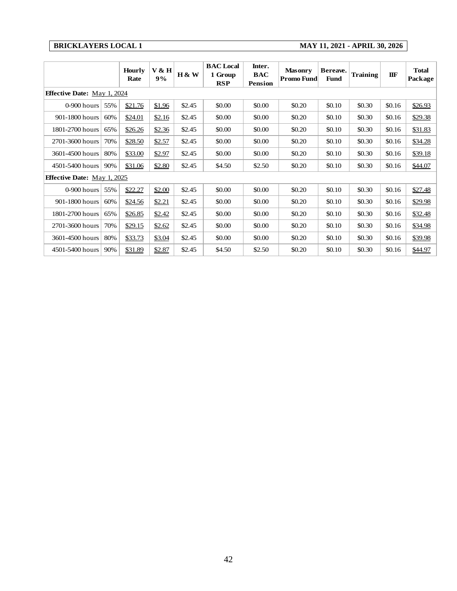### **BRICKLAYERS LOCAL 1 MAY 11, 2021 - APRIL 30, 2026**

|                                    | <b>BRICKLAYERS LOCAL 1</b><br>MAY 11, 2021 - APRIL 30, 2026 |                       |             |        |                                           |                                        |                                     |                         |                 |        |                         |  |
|------------------------------------|-------------------------------------------------------------|-----------------------|-------------|--------|-------------------------------------------|----------------------------------------|-------------------------------------|-------------------------|-----------------|--------|-------------------------|--|
|                                    |                                                             | <b>Hourly</b><br>Rate | V & H<br>9% | H & W  | <b>BAC</b> Local<br>1 Group<br><b>RSP</b> | Inter.<br><b>BAC</b><br><b>Pension</b> | <b>Masonry</b><br><b>Promo Fund</b> | Bereave.<br><b>Fund</b> | <b>Training</b> | IIF    | <b>Total</b><br>Package |  |
| <b>Effective Date:</b> May 1, 2024 |                                                             |                       |             |        |                                           |                                        |                                     |                         |                 |        |                         |  |
| 0-900 hours                        | 55%                                                         | \$21.76               | \$1.96      | \$2.45 | \$0.00                                    | \$0.00                                 | \$0.20                              | \$0.10                  | \$0.30          | \$0.16 | \$26.93                 |  |
| 901-1800 hours                     | 60%                                                         | \$24.01               | \$2.16      | \$2.45 | \$0.00                                    | \$0.00                                 | \$0.20                              | \$0.10                  | \$0.30          | \$0.16 | \$29.38                 |  |
| 1801-2700 hours                    | 65%                                                         | \$26.26               | \$2.36      | \$2.45 | \$0.00                                    | \$0.00                                 | \$0.20                              | \$0.10                  | \$0.30          | \$0.16 | \$31.83                 |  |
| 2701-3600 hours                    | 70%                                                         | \$28.50               | \$2.57      | \$2.45 | \$0.00                                    | \$0.00                                 | \$0.20                              | \$0.10                  | \$0.30          | \$0.16 | \$34.28                 |  |
| 3601-4500 hours                    | 80%                                                         | \$33.00               | \$2.97      | \$2.45 | \$0.00                                    | \$0.00                                 | \$0.20                              | \$0.10                  | \$0.30          | \$0.16 | \$39.18                 |  |
| 4501-5400 hours                    | 90%                                                         | \$31.06               | \$2.80      | \$2.45 | \$4.50                                    | \$2.50                                 | \$0.20                              | \$0.10                  | \$0.30          | \$0.16 | \$44.07                 |  |
| <b>Effective Date:</b> May 1, 2025 |                                                             |                       |             |        |                                           |                                        |                                     |                         |                 |        |                         |  |
| 0-900 hours                        | 55%                                                         | \$22.27               | \$2.00      | \$2.45 | \$0.00                                    | \$0.00                                 | \$0.20                              | \$0.10                  | \$0.30          | \$0.16 | \$27.48                 |  |
| 901-1800 hours                     | 60%                                                         | \$24.56               | \$2.21      | \$2.45 | \$0.00                                    | \$0.00                                 | \$0.20                              | \$0.10                  | \$0.30          | \$0.16 | \$29.98                 |  |
| 1801-2700 hours                    | 65%                                                         | \$26.85               | \$2.42      | \$2.45 | \$0.00                                    | \$0.00                                 | \$0.20                              | \$0.10                  | \$0.30          | \$0.16 | \$32.48                 |  |
| 2701-3600 hours                    | 70%                                                         | \$29.15               | \$2.62      | \$2.45 | \$0.00                                    | \$0.00                                 | \$0.20                              | \$0.10                  | \$0.30          | \$0.16 | \$34.98                 |  |
| 3601-4500 hours                    | 80%                                                         | \$33.73               | \$3.04      | \$2.45 | \$0.00                                    | \$0.00                                 | \$0.20                              | \$0.10                  | \$0.30          | \$0.16 | \$39.98                 |  |
| 4501-5400 hours                    | 90%                                                         | \$31.89               | \$2.87      | \$2.45 | \$4.50                                    | \$2.50                                 | \$0.20                              | \$0.10                  | \$0.30          | \$0.16 | \$44.97                 |  |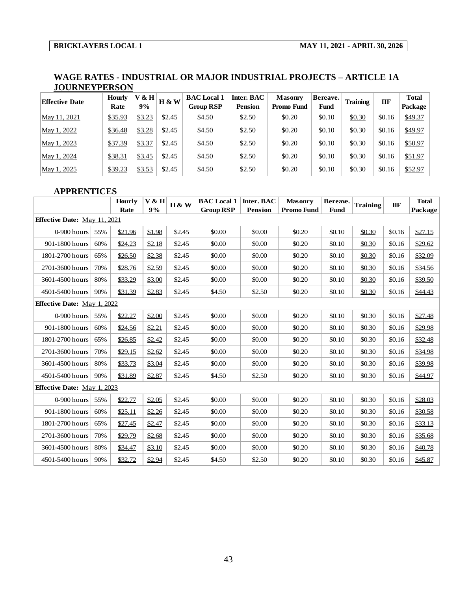### **WAGE RATES - INDUSTRIAL OR MAJOR INDUSTRIAL PROJECTS – ARTICLE 1A JOURNEYPERSON**

| <b>Effective Date</b> | <b>Hourly</b><br>Rate | V & H<br>9% | <b>H &amp; W</b> | <b>BAC</b> Local 1<br><b>Group RSP</b> | Inter. BAC<br><b>Pension</b> | <b>Masonry</b><br>Promo Fund | Bereave.<br>Fund | <b>Training</b> | IIF    | <b>Total</b><br>Package |
|-----------------------|-----------------------|-------------|------------------|----------------------------------------|------------------------------|------------------------------|------------------|-----------------|--------|-------------------------|
| May 11, 2021          | \$35.93               | \$3.23      | \$2.45           | \$4.50                                 | \$2.50                       | \$0.20                       | \$0.10           | \$0.30          | \$0.16 | \$49.37                 |
| May 1, 2022           | \$36.48               | \$3.28      | \$2.45           | \$4.50                                 | \$2.50                       | \$0.20                       | \$0.10           | \$0.30          | \$0.16 | \$49.97                 |
| May 1, 2023           | \$37.39               | \$3.37      | \$2.45           | \$4.50                                 | \$2.50                       | \$0.20                       | \$0.10           | \$0.30          | \$0.16 | \$50.97                 |
| May 1, 2024           | \$38.31               | \$3.45      | \$2.45           | \$4.50                                 | \$2.50                       | \$0.20                       | \$0.10           | \$0.30          | \$0.16 | \$51.97                 |
| May 1, 2025           | \$39.23               | \$3.53      | \$2.45           | \$4.50                                 | \$2.50                       | \$0.20                       | \$0.10           | \$0.30          | \$0.16 | \$52.97                 |

### **APPRENTICES**

| May 1, 2025                         |                    | \$39.23        | \$3.53      |  | \$2.45 | \$4.50                                 | \$2.50                | \$0.20                              | \$0.10           | \$0.30          | \$0.16 | \$52.97                 |  |  |
|-------------------------------------|--------------------|----------------|-------------|--|--------|----------------------------------------|-----------------------|-------------------------------------|------------------|-----------------|--------|-------------------------|--|--|
|                                     | <b>APPRENTICES</b> |                |             |  |        |                                        |                       |                                     |                  |                 |        |                         |  |  |
|                                     |                    | Hourly<br>Rate | V & H<br>9% |  | H & W  | <b>BAC</b> Local 1<br><b>Group RSP</b> | Inter. BAC<br>Pension | <b>Masonry</b><br><b>Promo Fund</b> | Bereave.<br>Fund | <b>Training</b> | IIF    | <b>Total</b><br>Package |  |  |
| <b>Effective Date:</b> May 11, 2021 |                    |                |             |  |        |                                        |                       |                                     |                  |                 |        |                         |  |  |
| 0-900 hours                         | 55%                | \$21.96        | \$1.98      |  | \$2.45 | \$0.00                                 | \$0.00                | \$0.20                              | \$0.10           | \$0.30          | \$0.16 | \$27.15                 |  |  |
| 901-1800 hours                      | 60%                | \$24.23        | \$2.18      |  | \$2.45 | \$0.00                                 | \$0.00                | \$0.20                              | \$0.10           | \$0.30          | \$0.16 | \$29.62                 |  |  |
| 1801-2700 hours                     | 65%                | \$26.50        | \$2.38      |  | \$2.45 | \$0.00                                 | \$0.00                | \$0.20                              | \$0.10           | \$0.30          | \$0.16 | \$32.09                 |  |  |
| 2701-3600 hours                     | 70%                | \$28.76        | \$2.59      |  | \$2.45 | \$0.00                                 | \$0.00                | \$0.20                              | \$0.10           | \$0.30          | \$0.16 | \$34.56                 |  |  |
| 3601-4500 hours                     | 80%                | \$33.29        | \$3.00      |  | \$2.45 | \$0.00                                 | \$0.00                | \$0.20                              | \$0.10           | \$0.30          | \$0.16 | \$39.50                 |  |  |
| 4501-5400 hours                     | 90%                | \$31.39        | \$2.83      |  | \$2.45 | \$4.50                                 | \$2.50                | \$0.20                              | \$0.10           | \$0.30          | \$0.16 | \$44.43                 |  |  |
| <b>Effective Date: May 1, 2022</b>  |                    |                |             |  |        |                                        |                       |                                     |                  |                 |        |                         |  |  |
| $0-900$ hours                       | 55%                | \$22.27        | \$2.00      |  | \$2.45 | \$0.00                                 | \$0.00                | \$0.20                              | \$0.10           | \$0.30          | \$0.16 | \$27.48                 |  |  |
| 901-1800 hours                      | 60%                | \$24.56        | \$2.21      |  | \$2.45 | \$0.00                                 | \$0.00                | \$0.20                              | \$0.10           | \$0.30          | \$0.16 | \$29.98                 |  |  |
| 1801-2700 hours                     | 65%                | \$26.85        | \$2.42      |  | \$2.45 | \$0.00                                 | \$0.00                | \$0.20                              | \$0.10           | \$0.30          | \$0.16 | \$32.48                 |  |  |
| 2701-3600 hours                     | 70%                | \$29.15        | \$2.62      |  | \$2.45 | \$0.00                                 | \$0.00                | \$0.20                              | \$0.10           | \$0.30          | \$0.16 | \$34.98                 |  |  |
| 3601-4500 hours                     | 80%                | \$33.73        | \$3.04      |  | \$2.45 | \$0.00                                 | \$0.00                | \$0.20                              | \$0.10           | \$0.30          | \$0.16 | \$39.98                 |  |  |
| 4501-5400 hours                     | 90%                | \$31.89        | \$2.87      |  | \$2.45 | \$4.50                                 | \$2.50                | \$0.20                              | \$0.10           | \$0.30          | \$0.16 | \$44.97                 |  |  |
| <b>Effective Date:</b> May 1, 2023  |                    |                |             |  |        |                                        |                       |                                     |                  |                 |        |                         |  |  |
| 0-900 hours                         | 55%                | \$22.77        | \$2.05      |  | \$2.45 | \$0.00                                 | \$0.00                | \$0.20                              | \$0.10           | \$0.30          | \$0.16 | \$28.03                 |  |  |
| 901-1800 hours                      | 60%                | \$25.11        | \$2.26      |  | \$2.45 | \$0.00                                 | \$0.00                | \$0.20                              | \$0.10           | \$0.30          | \$0.16 | \$30.58                 |  |  |
| 1801-2700 hours                     | 65%                | \$27.45        | \$2.47      |  | \$2.45 | \$0.00                                 | \$0.00                | \$0.20                              | \$0.10           | \$0.30          | \$0.16 | \$33.13                 |  |  |
| 2701-3600 hours                     | 70%                | \$29.79        | \$2.68      |  | \$2.45 | \$0.00                                 | \$0.00                | \$0.20                              | \$0.10           | \$0.30          | \$0.16 | \$35.68                 |  |  |
| 3601-4500 hours                     | 80%                | \$34.47        | \$3.10      |  | \$2.45 | \$0.00                                 | \$0.00                | \$0.20                              | \$0.10           | \$0.30          | \$0.16 | \$40.78                 |  |  |
| 4501-5400 hours                     | 90%                | \$32.72        | \$2.94      |  | \$2.45 | \$4.50                                 | \$2.50                | \$0.20                              | \$0.10           | \$0.30          | \$0.16 | \$45.87                 |  |  |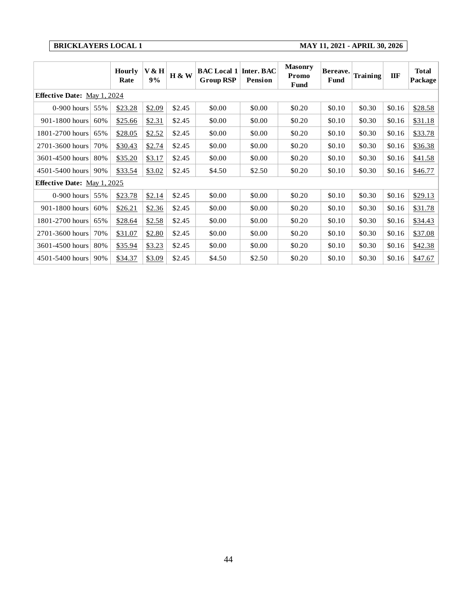| <b>BRICKLAYERS LOCAL 1</b>         |     |                       |             |        |                                        |                              |                                 | MAY 11, 2021 - APRIL 30, 2026 |          |        |                         |
|------------------------------------|-----|-----------------------|-------------|--------|----------------------------------------|------------------------------|---------------------------------|-------------------------------|----------|--------|-------------------------|
|                                    |     | <b>Hourly</b><br>Rate | V & H<br>9% | H & W  | <b>BAC</b> Local 1<br><b>Group RSP</b> | Inter. BAC<br><b>Pension</b> | <b>Masonry</b><br>Promo<br>Fund | Bereave.<br>Fund              | Training | IIF    | <b>Total</b><br>Package |
| <b>Effective Date:</b> May 1, 2024 |     |                       |             |        |                                        |                              |                                 |                               |          |        |                         |
| $0-900$ hours                      | 55% | \$23.28               | \$2.09      | \$2.45 | \$0.00                                 | \$0.00                       | \$0.20                          | \$0.10                        | \$0.30   | \$0.16 | \$28.58                 |
| 901-1800 hours                     | 60% | \$25.66               | \$2.31      | \$2.45 | \$0.00                                 | \$0.00                       | \$0.20                          | \$0.10                        | \$0.30   | \$0.16 | \$31.18                 |
| 1801-2700 hours                    | 65% | \$28.05               | \$2.52      | \$2.45 | \$0.00                                 | \$0.00                       | \$0.20                          | \$0.10                        | \$0.30   | \$0.16 | \$33.78                 |
| 2701-3600 hours                    | 70% | \$30.43               | \$2.74      | \$2.45 | \$0.00                                 | \$0.00                       | \$0.20                          | \$0.10                        | \$0.30   | \$0.16 | \$36.38                 |
| 3601-4500 hours                    | 80% | \$35.20               | \$3.17      | \$2.45 | \$0.00                                 | \$0.00                       | \$0.20                          | \$0.10                        | \$0.30   | \$0.16 | \$41.58                 |
| 4501-5400 hours                    | 90% | \$33.54               | \$3.02      | \$2.45 | \$4.50                                 | \$2.50                       | \$0.20                          | \$0.10                        | \$0.30   | \$0.16 | \$46.77                 |
| Effective Date: May 1, 2025        |     |                       |             |        |                                        |                              |                                 |                               |          |        |                         |
| 0-900 hours                        | 55% | \$23.78               | \$2.14      | \$2.45 | \$0.00                                 | \$0.00                       | \$0.20                          | \$0.10                        | \$0.30   | \$0.16 | \$29.13                 |
| 901-1800 hours                     | 60% | \$26.21               | \$2.36      | \$2.45 | \$0.00                                 | \$0.00                       | \$0.20                          | \$0.10                        | \$0.30   | \$0.16 | \$31.78                 |
| 1801-2700 hours                    | 65% | \$28.64               | \$2.58      | \$2.45 | \$0.00                                 | \$0.00                       | \$0.20                          | \$0.10                        | \$0.30   | \$0.16 | \$34.43                 |
| 2701-3600 hours                    | 70% | \$31.07               | \$2.80      | \$2.45 | \$0.00                                 | \$0.00                       | \$0.20                          | \$0.10                        | \$0.30   | \$0.16 | \$37.08                 |
| 3601-4500 hours                    | 80% | \$35.94               | \$3.23      | \$2.45 | \$0.00                                 | \$0.00                       | \$0.20                          | \$0.10                        | \$0.30   | \$0.16 | \$42.38                 |
| 4501-5400 hours                    | 90% | \$34.37               | \$3.09      | \$2.45 | \$4.50                                 | \$2.50                       | \$0.20                          | \$0.10                        | \$0.30   | \$0.16 | \$47.67                 |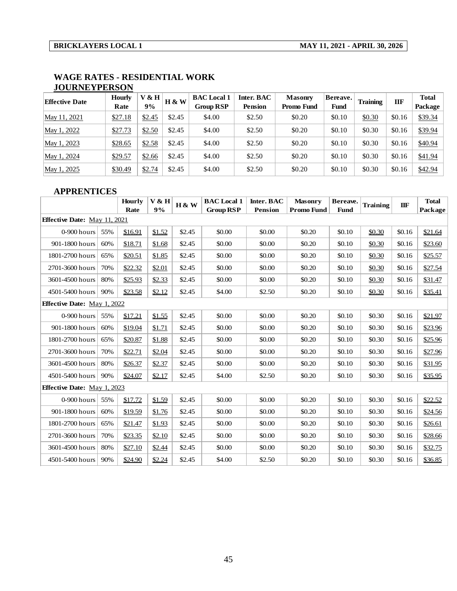| ,,,,,,,,,,,,,,,,,,,,  |               |         |                  |                    |                |                |             |                 |        |              |
|-----------------------|---------------|---------|------------------|--------------------|----------------|----------------|-------------|-----------------|--------|--------------|
| <b>Effective Date</b> | <b>Hourly</b> | $V$ & H | <b>H &amp; W</b> | <b>BAC</b> Local 1 | Inter. BAC     | <b>Masonry</b> | Bereave.    | <b>Training</b> | Ш      | <b>Total</b> |
|                       | Rate          | 9%      |                  | <b>Group RSP</b>   | <b>Pension</b> | Promo Fund     | <b>Fund</b> |                 |        | Package      |
| May 11, 2021          | \$27.18       | \$2.45  | \$2.45           | \$4.00             | \$2.50         | \$0.20         | \$0.10      | \$0.30          | \$0.16 | \$39.34      |
| May 1, 2022           | \$27.73       | \$2.50  | \$2.45           | \$4.00             | \$2.50         | \$0.20         | \$0.10      | \$0.30          | \$0.16 | \$39.94      |
| May 1, 2023           | \$28.65       | \$2.58  | \$2.45           | \$4.00             | \$2.50         | \$0.20         | \$0.10      | \$0.30          | \$0.16 | \$40.94      |
| May 1, 2024           | \$29.57       | \$2.66  | \$2.45           | \$4.00             | \$2.50         | \$0.20         | \$0.10      | \$0.30          | \$0.16 | \$41.94      |
| May 1, 2025           | \$30.49       | \$2.74  | \$2.45           | \$4.00             | \$2.50         | \$0.20         | \$0.10      | \$0.30          | \$0.16 | \$42.94      |

#### **WAGE RATES - RESIDENTIAL WORK JOURNEYPERSON**

#### **APPRENTICES**

| May 1, 2025                         |     | \$30.49        | \$2.74      | \$2.45 |        | \$4.00                                 | \$2.50                       | \$0.20                              | \$0.10                  | \$0.30          | \$0.16     | \$42.94                 |
|-------------------------------------|-----|----------------|-------------|--------|--------|----------------------------------------|------------------------------|-------------------------------------|-------------------------|-----------------|------------|-------------------------|
| <b>APPRENTICES</b>                  |     |                |             |        |        |                                        |                              |                                     |                         |                 |            |                         |
|                                     |     | Hourly<br>Rate | V & H<br>9% |        | H & W  | <b>BAC</b> Local 1<br><b>Group RSP</b> | Inter. BAC<br><b>Pension</b> | <b>Masonry</b><br><b>Promo Fund</b> | Bereave.<br><b>Fund</b> | <b>Training</b> | <b>IIF</b> | <b>Total</b><br>Package |
| <b>Effective Date:</b> May 11, 2021 |     |                |             |        |        |                                        |                              |                                     |                         |                 |            |                         |
| 0-900 hours                         | 55% | \$16.91        | \$1.52      |        | \$2.45 | \$0.00                                 | \$0.00                       | \$0.20                              | \$0.10                  | \$0.30          | \$0.16     | \$21.64                 |
| 901-1800 hours                      | 60% | \$18.71        | \$1.68      |        | \$2.45 | \$0.00                                 | \$0.00                       | \$0.20                              | \$0.10                  | \$0.30          | \$0.16     | \$23.60                 |
| 1801-2700 hours                     | 65% | \$20.51        | \$1.85      |        | \$2.45 | \$0.00                                 | \$0.00                       | \$0.20                              | \$0.10                  | \$0.30          | \$0.16     | \$25.57                 |
| 2701-3600 hours                     | 70% | \$22.32        | \$2.01      |        | \$2.45 | \$0.00                                 | \$0.00                       | \$0.20                              | \$0.10                  | \$0.30          | \$0.16     | \$27.54                 |
| 3601-4500 hours                     | 80% | \$25.93        | \$2.33      |        | \$2.45 | \$0.00                                 | \$0.00                       | \$0.20                              | \$0.10                  | \$0.30          | \$0.16     | \$31.47                 |
| 4501-5400 hours                     | 90% | \$23.58        | \$2.12      |        | \$2.45 | \$4.00                                 | \$2.50                       | \$0.20                              | \$0.10                  | \$0.30          | \$0.16     | \$35.41                 |
| <b>Effective Date:</b> May 1, 2022  |     |                |             |        |        |                                        |                              |                                     |                         |                 |            |                         |
| 0-900 hours                         | 55% | \$17.21        | \$1.55      |        | \$2.45 | \$0.00                                 | \$0.00                       | \$0.20                              | \$0.10                  | \$0.30          | \$0.16     | \$21.97                 |
| 901-1800 hours                      | 60% | \$19.04        | \$1.71      |        | \$2.45 | \$0.00                                 | \$0.00                       | \$0.20                              | \$0.10                  | \$0.30          | \$0.16     | \$23.96                 |
| 1801-2700 hours                     | 65% | \$20.87        | \$1.88      |        | \$2.45 | \$0.00                                 | \$0.00                       | \$0.20                              | \$0.10                  | \$0.30          | \$0.16     | \$25.96                 |
| 2701-3600 hours                     | 70% | \$22.71        | \$2.04      |        | \$2.45 | \$0.00                                 | \$0.00                       | \$0.20                              | \$0.10                  | \$0.30          | \$0.16     | \$27.96                 |
| 3601-4500 hours                     | 80% | \$26.37        | \$2.37      |        | \$2.45 | \$0.00                                 | \$0.00                       | \$0.20                              | \$0.10                  | \$0.30          | \$0.16     | \$31.95                 |
| 4501-5400 hours                     | 90% | \$24.07        | \$2.17      |        | \$2.45 | \$4.00                                 | \$2.50                       | \$0.20                              | \$0.10                  | \$0.30          | \$0.16     | \$35.95                 |
| <b>Effective Date:</b> May 1, 2023  |     |                |             |        |        |                                        |                              |                                     |                         |                 |            |                         |
| 0-900 hours                         | 55% | \$17.72        | \$1.59      |        | \$2.45 | \$0.00                                 | \$0.00                       | \$0.20                              | \$0.10                  | \$0.30          | \$0.16     | \$22.52                 |
| 901-1800 hours                      | 60% | \$19.59        | \$1.76      |        | \$2.45 | \$0.00                                 | \$0.00                       | \$0.20                              | \$0.10                  | \$0.30          | \$0.16     | \$24.56                 |
| 1801-2700 hours                     | 65% | \$21.47        | \$1.93      |        | \$2.45 | \$0.00                                 | \$0.00                       | \$0.20                              | \$0.10                  | \$0.30          | \$0.16     | \$26.61                 |
| 2701-3600 hours                     | 70% | \$23.35        | \$2.10      |        | \$2.45 | \$0.00                                 | \$0.00                       | \$0.20                              | \$0.10                  | \$0.30          | \$0.16     | \$28.66                 |
| 3601-4500 hours                     | 80% | \$27.10        | \$2.44      |        | \$2.45 | \$0.00                                 | \$0.00                       | \$0.20                              | \$0.10                  | \$0.30          | \$0.16     | \$32.75                 |
| 4501-5400 hours                     | 90% | \$24.90        | \$2.24      |        | \$2.45 | \$4.00                                 | \$2.50                       | \$0.20                              | \$0.10                  | \$0.30          | \$0.16     | \$36.85                 |
|                                     |     |                |             |        |        |                                        |                              |                                     |                         |                 |            |                         |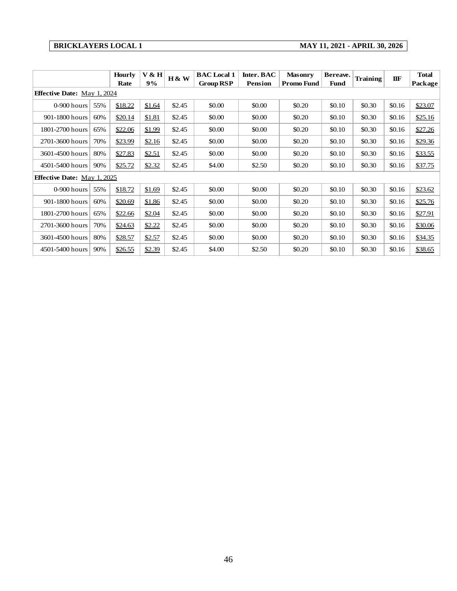### **BRICKLAYERS LOCAL 1 MAY 11, 2021 - APRIL 30, 2026**

| <b>BRICKLAYERS LOCAL 1</b>         |     |                       |             |        |                                        | MAY 11, 2021 - APRIL 30, 2026 |                                     |                         |                 |        |                         |
|------------------------------------|-----|-----------------------|-------------|--------|----------------------------------------|-------------------------------|-------------------------------------|-------------------------|-----------------|--------|-------------------------|
|                                    |     | <b>Hourly</b><br>Rate | V & H<br>9% | H & W  | <b>BAC</b> Local 1<br><b>Group RSP</b> | Inter. BAC<br><b>Pension</b>  | <b>Masonry</b><br><b>Promo Fund</b> | Bereave.<br><b>Fund</b> | <b>Training</b> | IIF    | <b>Total</b><br>Package |
| <b>Effective Date:</b> May 1, 2024 |     |                       |             |        |                                        |                               |                                     |                         |                 |        |                         |
| $0-900$ hours                      | 55% | \$18.22               | \$1.64      | \$2.45 | \$0.00                                 | \$0.00                        | \$0.20                              | \$0.10                  | \$0.30          | \$0.16 | \$23.07                 |
| 901-1800 hours                     | 60% | \$20.14               | \$1.81      | \$2.45 | \$0.00                                 | \$0.00                        | \$0.20                              | \$0.10                  | \$0.30          | \$0.16 | \$25.16                 |
| 1801-2700 hours                    | 65% | \$22.06               | \$1.99      | \$2.45 | \$0.00                                 | \$0.00                        | \$0.20                              | \$0.10                  | \$0.30          | \$0.16 | \$27.26                 |
| 2701-3600 hours                    | 70% | \$23.99               | \$2.16      | \$2.45 | \$0.00                                 | \$0.00                        | \$0.20                              | \$0.10                  | \$0.30          | \$0.16 | \$29.36                 |
| 3601-4500 hours                    | 80% | \$27.83               | \$2.51      | \$2.45 | \$0.00                                 | \$0.00                        | \$0.20                              | \$0.10                  | \$0.30          | \$0.16 | \$33.55                 |
| 4501-5400 hours                    | 90% | \$25.72               | \$2.32      | \$2.45 | \$4.00                                 | \$2.50                        | \$0.20                              | \$0.10                  | \$0.30          | \$0.16 | \$37.75                 |
| <b>Effective Date:</b> May 1, 2025 |     |                       |             |        |                                        |                               |                                     |                         |                 |        |                         |
| $0-900$ hours                      | 55% | \$18.72               | \$1.69      | \$2.45 | \$0.00                                 | \$0.00                        | \$0.20                              | \$0.10                  | \$0.30          | \$0.16 | \$23.62                 |
| 901-1800 hours                     | 60% | \$20.69               | \$1.86      | \$2.45 | \$0.00                                 | \$0.00                        | \$0.20                              | \$0.10                  | \$0.30          | \$0.16 | \$25.76                 |
| 1801-2700 hours                    | 65% | \$22.66               | \$2.04      | \$2.45 | \$0.00                                 | \$0.00                        | \$0.20                              | \$0.10                  | \$0.30          | \$0.16 | \$27.91                 |
| 2701-3600 hours                    | 70% | \$24.63               | \$2.22      | \$2.45 | \$0.00                                 | \$0.00                        | \$0.20                              | \$0.10                  | \$0.30          | \$0.16 | \$30.06                 |
| 3601-4500 hours                    | 80% | \$28.57               | \$2.57      | \$2.45 | \$0.00                                 | \$0.00                        | \$0.20                              | \$0.10                  | \$0.30          | \$0.16 | \$34.35                 |
| 4501-5400 hours                    | 90% | \$26.55               | \$2.39      | \$2.45 | \$4.00                                 | \$2.50                        | \$0.20                              | \$0.10                  | \$0.30          | \$0.16 | \$38.65                 |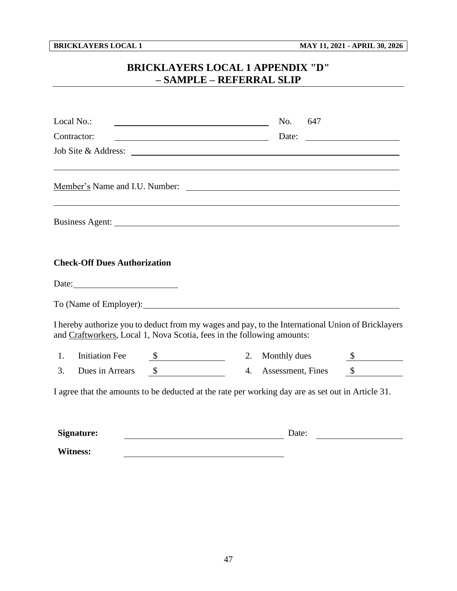# **BRICKLAYERS LOCAL 1 APPENDIX "D" – SAMPLE – REFERRAL SLIP**

<span id="page-49-0"></span>

| Local No.:<br><u> 1989 - Johann Barbara, martin amerikan basar dan basa dan basa dan basa dalam basa dalam basa dalam basa dala</u>                                         |    | No.               | 647 |        |  |
|-----------------------------------------------------------------------------------------------------------------------------------------------------------------------------|----|-------------------|-----|--------|--|
| <u> 1980 - Johann Barbara, martxa alemaniar a</u><br>Contractor:                                                                                                            |    | Date:             |     |        |  |
|                                                                                                                                                                             |    |                   |     |        |  |
|                                                                                                                                                                             |    |                   |     |        |  |
|                                                                                                                                                                             |    |                   |     |        |  |
| <b>Check-Off Dues Authorization</b>                                                                                                                                         |    |                   |     |        |  |
| Date:                                                                                                                                                                       |    |                   |     |        |  |
| To (Name of Employer):                                                                                                                                                      |    |                   |     |        |  |
| I hereby authorize you to deduct from my wages and pay, to the International Union of Bricklayers<br>and Craftworkers, Local 1, Nova Scotia, fees in the following amounts: |    |                   |     |        |  |
| <b>Initiation Fee</b><br>1.<br>$\sim$                                                                                                                                       | 2. | Monthly dues      |     |        |  |
| $\frac{\text{S}}{\text{S}}$<br>3.<br>Dues in Arrears                                                                                                                        | 4. | Assessment, Fines |     | $\sim$ |  |
| I agree that the amounts to be deducted at the rate per working day are as set out in Article 31.                                                                           |    |                   |     |        |  |
| Signature:                                                                                                                                                                  |    | Date:             |     |        |  |

**Witness:**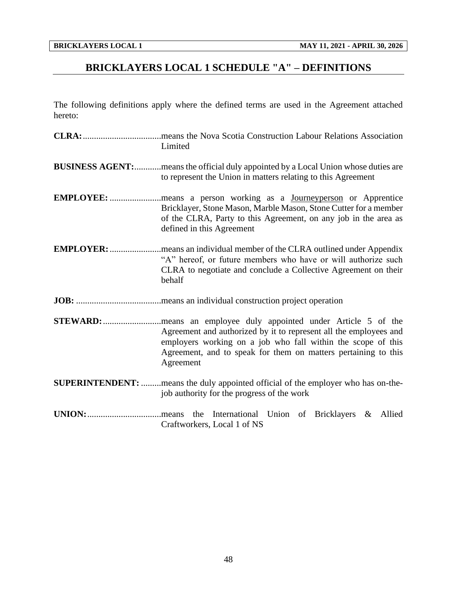# <span id="page-50-0"></span>**BRICKLAYERS LOCAL 1 SCHEDULE "A" – DEFINITIONS**

The following definitions apply where the defined terms are used in the Agreement attached hereto:

| Limited                                                                                                                                                                                                          |
|------------------------------------------------------------------------------------------------------------------------------------------------------------------------------------------------------------------|
| <b>BUSINESS AGENT:</b> means the official duly appointed by a Local Union whose duties are<br>to represent the Union in matters relating to this Agreement                                                       |
| Bricklayer, Stone Mason, Marble Mason, Stone Cutter for a member<br>of the CLRA, Party to this Agreement, on any job in the area as<br>defined in this Agreement                                                 |
| "A" hereof, or future members who have or will authorize such<br>CLRA to negotiate and conclude a Collective Agreement on their<br>behalf                                                                        |
|                                                                                                                                                                                                                  |
| Agreement and authorized by it to represent all the employees and<br>employers working on a job who fall within the scope of this<br>Agreement, and to speak for them on matters pertaining to this<br>Agreement |
| SUPERINTENDENT: means the duly appointed official of the employer who has on-the-<br>job authority for the progress of the work                                                                                  |
| the International Union of Bricklayers & Allied<br>.means<br>Craftworkers, Local 1 of NS                                                                                                                         |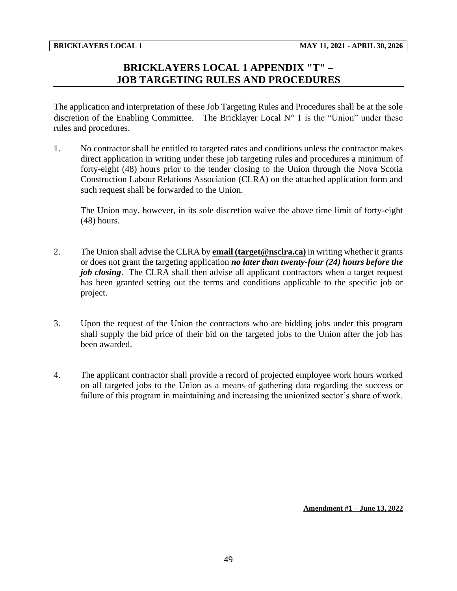# **BRICKLAYERS LOCAL 1 APPENDIX "T" – JOB TARGETING RULES AND PROCEDURES**

<span id="page-51-0"></span>The application and interpretation of these Job Targeting Rules and Procedures shall be at the sole discretion of the Enabling Committee. The Bricklayer Local  $N^{\circ}$  1 is the "Union" under these rules and procedures.

1. No contractor shall be entitled to targeted rates and conditions unless the contractor makes direct application in writing under these job targeting rules and procedures a minimum of forty-eight (48) hours prior to the tender closing to the Union through the Nova Scotia Construction Labour Relations Association (CLRA) on the attached application form and such request shall be forwarded to the Union.

The Union may, however, in its sole discretion waive the above time limit of forty-eight (48) hours.

- 2. The Union shall advise the CLRA by **email (target@nsclra.ca)** in writing whether it grants or does not grant the targeting application *no later than twenty-four (24) hours before the job closing*. The CLRA shall then advise all applicant contractors when a target request has been granted setting out the terms and conditions applicable to the specific job or project.
- 3. Upon the request of the Union the contractors who are bidding jobs under this program shall supply the bid price of their bid on the targeted jobs to the Union after the job has been awarded.
- 4. The applicant contractor shall provide a record of projected employee work hours worked on all targeted jobs to the Union as a means of gathering data regarding the success or failure of this program in maintaining and increasing the unionized sector's share of work.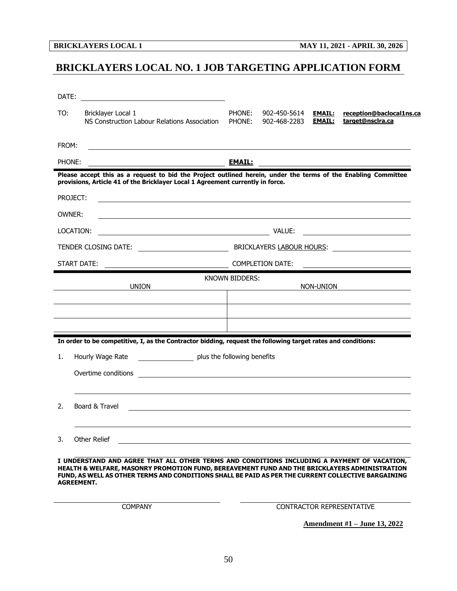# <span id="page-52-0"></span>**BRICKLAYERS LOCAL NO. 1 JOB TARGETING APPLICATION FORM**

| DATE:    |                                                                                                                                                                                                                                                                                                                         |                  |                              |                                |                                                                                                                                                                                                                                |
|----------|-------------------------------------------------------------------------------------------------------------------------------------------------------------------------------------------------------------------------------------------------------------------------------------------------------------------------|------------------|------------------------------|--------------------------------|--------------------------------------------------------------------------------------------------------------------------------------------------------------------------------------------------------------------------------|
| TO:      | Bricklayer Local 1<br>NS Construction Labour Relations Association                                                                                                                                                                                                                                                      | PHONE:<br>PHONE: | 902-450-5614<br>902-468-2283 | <b>EMAIL:</b><br><b>EMAIL:</b> | reception@baclocal1ns.ca<br>target@nsclra.ca                                                                                                                                                                                   |
| FROM:    |                                                                                                                                                                                                                                                                                                                         |                  |                              |                                |                                                                                                                                                                                                                                |
| PHONE:   |                                                                                                                                                                                                                                                                                                                         | <b>EMAIL:</b>    |                              |                                |                                                                                                                                                                                                                                |
|          | Please accept this as a request to bid the Project outlined herein, under the terms of the Enabling Committee<br>provisions, Article 41 of the Bricklayer Local 1 Agreement currently in force.                                                                                                                         |                  |                              |                                |                                                                                                                                                                                                                                |
| PROJECT: |                                                                                                                                                                                                                                                                                                                         |                  |                              |                                |                                                                                                                                                                                                                                |
| OWNER:   |                                                                                                                                                                                                                                                                                                                         |                  |                              |                                |                                                                                                                                                                                                                                |
|          | LOCATION:<br><u> 2008 - Andrea Andrew Maria (h. 1878).</u>                                                                                                                                                                                                                                                              |                  |                              |                                |                                                                                                                                                                                                                                |
|          | TENDER CLOSING DATE: <u>_______________________</u>                                                                                                                                                                                                                                                                     |                  |                              |                                | BRICKLAYERS LABOUR HOURS: Lack Control Control Control Control Control Control Control Control Control Control Control Control Control Control Control Control Control Control Control Control Control Control Control Control |
|          | START DATE:                                                                                                                                                                                                                                                                                                             |                  | <b>COMPLETION DATE:</b>      |                                |                                                                                                                                                                                                                                |
|          | <b>UNION</b>                                                                                                                                                                                                                                                                                                            | KNOWN BIDDERS:   |                              | NON-UNION                      | <u>and the state of the state of the state</u>                                                                                                                                                                                 |
|          |                                                                                                                                                                                                                                                                                                                         |                  |                              |                                |                                                                                                                                                                                                                                |
|          |                                                                                                                                                                                                                                                                                                                         |                  |                              |                                |                                                                                                                                                                                                                                |
|          | In order to be competitive, I, as the Contractor bidding, request the following target rates and conditions:                                                                                                                                                                                                            |                  |                              |                                |                                                                                                                                                                                                                                |
| 1.       | plus the following benefits<br>Hourly Wage Rate                                                                                                                                                                                                                                                                         |                  |                              |                                |                                                                                                                                                                                                                                |
|          | Overtime conditions<br><u> 1989 - Andrea Stadt Britain, amerikansk politiker (d. 1989)</u>                                                                                                                                                                                                                              |                  |                              |                                |                                                                                                                                                                                                                                |
|          |                                                                                                                                                                                                                                                                                                                         |                  |                              |                                |                                                                                                                                                                                                                                |
| 2.       | Board & Travel<br><u>and the control of the control of the control of the control of the control of the control of the control of the control of the control of the control of the control of the control of the control of the control of the con</u>                                                                  |                  |                              |                                |                                                                                                                                                                                                                                |
| 3.       | Other Relief                                                                                                                                                                                                                                                                                                            |                  |                              |                                |                                                                                                                                                                                                                                |
|          |                                                                                                                                                                                                                                                                                                                         |                  |                              |                                |                                                                                                                                                                                                                                |
|          | I UNDERSTAND AND AGREE THAT ALL OTHER TERMS AND CONDITIONS INCLUDING A PAYMENT OF VACATION,<br>HEALTH & WELFARE, MASONRY PROMOTION FUND, BEREAVEMENT FUND AND THE BRICKLAYERS ADMINISTRATION<br>FUND, AS WELL AS OTHER TERMS AND CONDITIONS SHALL BE PAID AS PER THE CURRENT COLLECTIVE BARGAINING<br><b>AGREEMENT.</b> |                  |                              |                                |                                                                                                                                                                                                                                |

COMPANY CONTRACTOR REPRESENTATIVE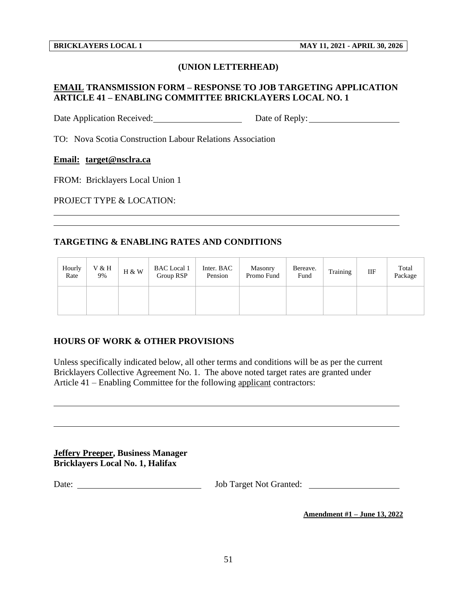### **(UNION LETTERHEAD)**

## **EMAIL TRANSMISSION FORM – RESPONSE TO JOB TARGETING APPLICATION ARTICLE 41 – ENABLING COMMITTEE BRICKLAYERS LOCAL NO. 1**

Date Application Received: Date of Reply: Date of Reply:

TO: Nova Scotia Construction Labour Relations Association

#### **Email: target@nsclra.ca**

FROM: Bricklayers Local Union 1

PROJECT TYPE & LOCATION:

### **TARGETING & ENABLING RATES AND CONDITIONS**

| Hourly<br>Rate | V & H<br>9% | H & W | <b>BAC</b> Local 1<br>Group RSP | Inter. BAC<br>Pension | Masonry<br>Promo Fund | Bereave.<br>Fund | Training | IIF | Total<br>Package |
|----------------|-------------|-------|---------------------------------|-----------------------|-----------------------|------------------|----------|-----|------------------|
|                |             |       |                                 |                       |                       |                  |          |     |                  |

### **HOURS OF WORK & OTHER PROVISIONS**

Unless specifically indicated below, all other terms and conditions will be as per the current Bricklayers Collective Agreement No. 1. The above noted target rates are granted under Article 41 – Enabling Committee for the following applicant contractors:

**Jeffery Preeper, Business Manager Bricklayers Local No. 1, Halifax**

Date: Job Target Not Granted: